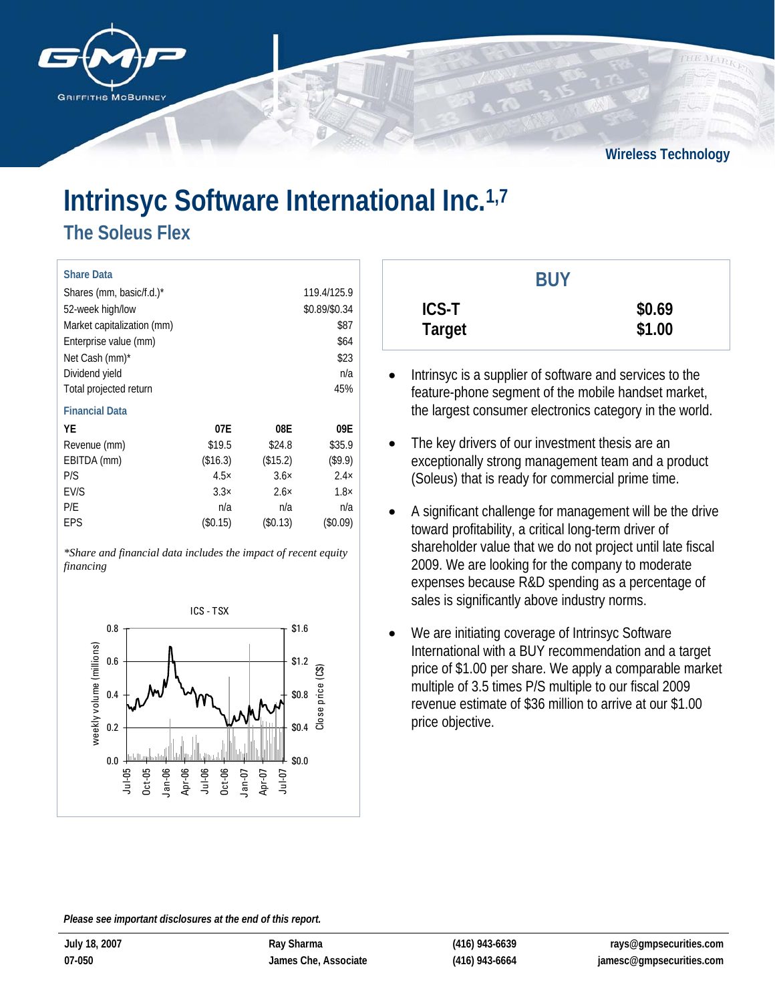

**Wireless Technology**

# **Intrinsyc Software International Inc.1,7**

**The Soleus Flex** 

| <b>Share Data</b>          |             |             |               |
|----------------------------|-------------|-------------|---------------|
| Shares (mm, basic/f.d.)*   |             |             | 119.4/125.9   |
| 52-week high/low           |             |             | \$0.89/\$0.34 |
| Market capitalization (mm) |             |             | \$87          |
| Enterprise value (mm)      |             |             | \$64          |
| Net Cash (mm)*             |             |             | \$23          |
| Dividend yield             |             |             | n/a           |
| Total projected return     |             |             | 45%           |
| <b>Financial Data</b>      |             |             |               |
| YE                         | 07E         | 08E         | 09E           |
| Revenue (mm)               | \$19.5      | \$24.8      | \$35.9        |
| EBITDA (mm)                | (\$16.3)    | (\$15.2)    | (\$9.9)       |
| P/S                        | $4.5\times$ | $3.6\times$ | $2.4\times$   |
| EV/S                       | $3.3\times$ | $2.6\times$ | $1.8\times$   |
| P/E                        | n/a         | n/a         | n/a           |
| EPS                        | $(\$0.15)$  | (\$0.13)    | (\$0.09)      |

*\*Share and financial data includes the impact of recent equity financing*



|                               | <b>BUY</b> |                  |
|-------------------------------|------------|------------------|
| <b>ICS-T</b><br><b>Target</b> |            | \$0.69<br>\$1.00 |

- Intrinsyc is a supplier of software and services to the feature-phone segment of the mobile handset market, the largest consumer electronics category in the world.
- The key drivers of our investment thesis are an exceptionally strong management team and a product (Soleus) that is ready for commercial prime time.
- A significant challenge for management will be the drive toward profitability, a critical long-term driver of shareholder value that we do not project until late fiscal 2009. We are looking for the company to moderate expenses because R&D spending as a percentage of sales is significantly above industry norms.
- We are initiating coverage of Intrinsyc Software International with a BUY recommendation and a target price of \$1.00 per share. We apply a comparable market multiple of 3.5 times P/S multiple to our fiscal 2009 revenue estimate of \$36 million to arrive at our \$1.00 price objective.

*Please see important disclosures at the end of this report.*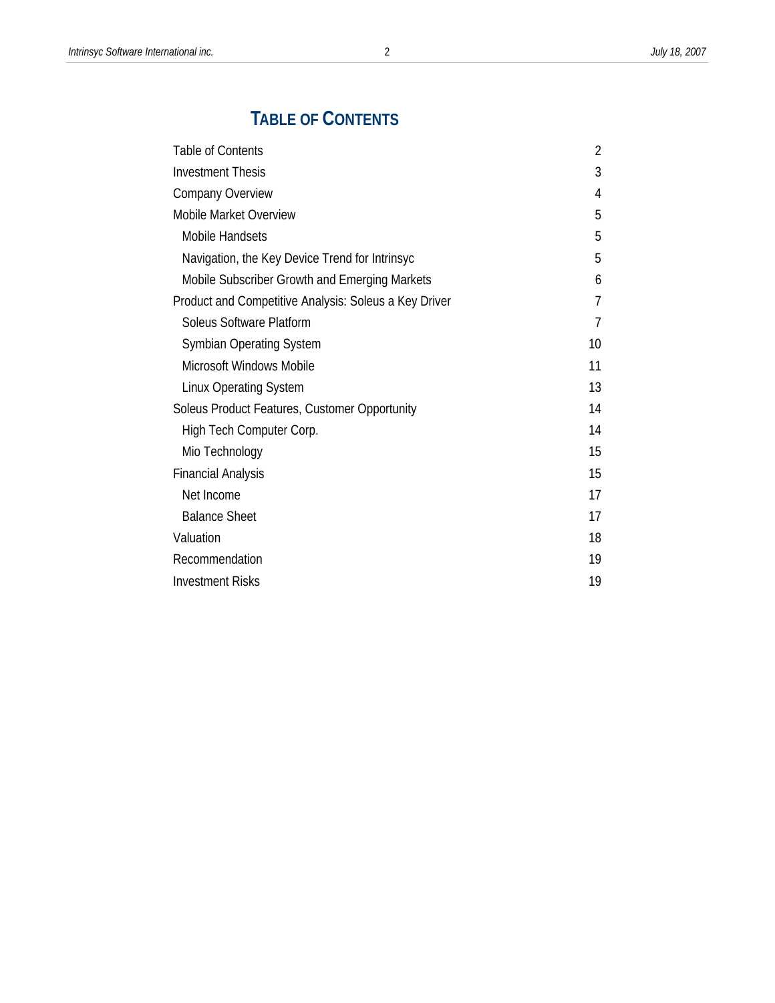# **TABLE OF CONTENTS**

| <b>Table of Contents</b>                              | 2              |
|-------------------------------------------------------|----------------|
| <b>Investment Thesis</b>                              | 3              |
| Company Overview                                      | 4              |
| Mobile Market Overview                                | 5              |
| Mobile Handsets                                       | 5              |
| Navigation, the Key Device Trend for Intrinsyc        | 5              |
| Mobile Subscriber Growth and Emerging Markets         | 6              |
| Product and Competitive Analysis: Soleus a Key Driver | 7              |
| Soleus Software Platform                              | $\overline{7}$ |
| <b>Symbian Operating System</b>                       | 10             |
| Microsoft Windows Mobile                              | 11             |
| <b>Linux Operating System</b>                         | 13             |
| Soleus Product Features, Customer Opportunity         | 14             |
| High Tech Computer Corp.                              | 14             |
| Mio Technology                                        | 15             |
| <b>Financial Analysis</b>                             | 15             |
| Net Income                                            | 17             |
| <b>Balance Sheet</b>                                  | 17             |
| Valuation                                             | 18             |
| Recommendation                                        | 19             |
| <b>Investment Risks</b>                               | 19             |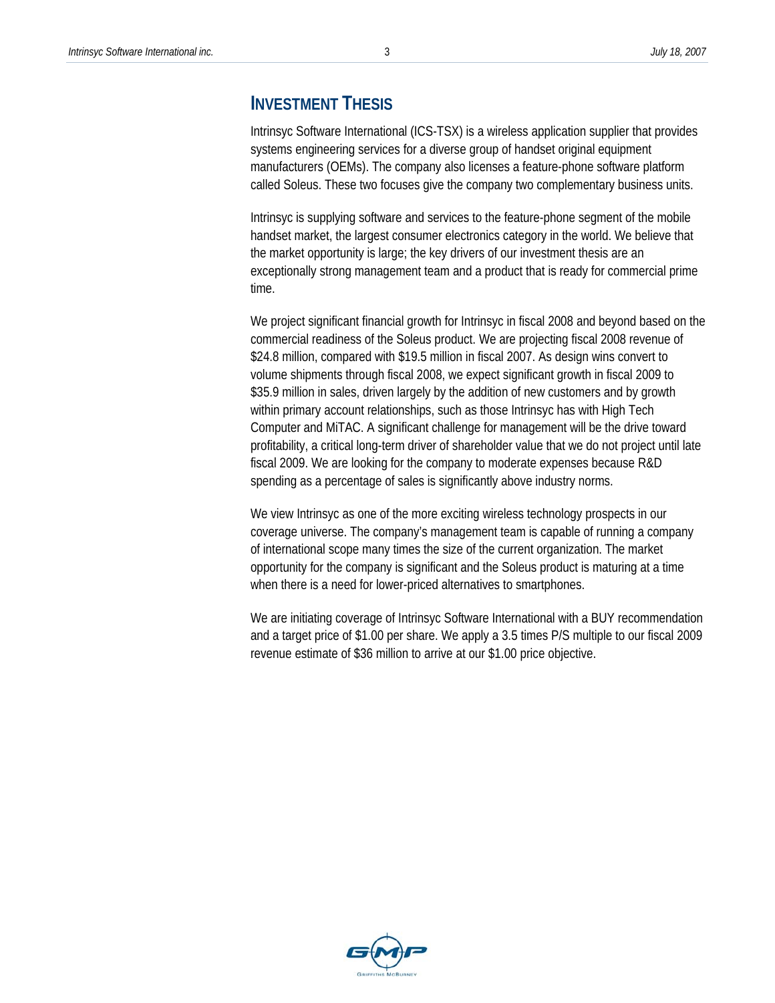## **INVESTMENT THESIS**

Intrinsyc Software International (ICS-TSX) is a wireless application supplier that provides systems engineering services for a diverse group of handset original equipment manufacturers (OEMs). The company also licenses a feature-phone software platform called Soleus. These two focuses give the company two complementary business units.

Intrinsyc is supplying software and services to the feature-phone segment of the mobile handset market, the largest consumer electronics category in the world. We believe that the market opportunity is large; the key drivers of our investment thesis are an exceptionally strong management team and a product that is ready for commercial prime time.

We project significant financial growth for Intrinsyc in fiscal 2008 and beyond based on the commercial readiness of the Soleus product. We are projecting fiscal 2008 revenue of \$24.8 million, compared with \$19.5 million in fiscal 2007. As design wins convert to volume shipments through fiscal 2008, we expect significant growth in fiscal 2009 to \$35.9 million in sales, driven largely by the addition of new customers and by growth within primary account relationships, such as those Intrinsyc has with High Tech Computer and MiTAC. A significant challenge for management will be the drive toward profitability, a critical long-term driver of shareholder value that we do not project until late fiscal 2009. We are looking for the company to moderate expenses because R&D spending as a percentage of sales is significantly above industry norms.

We view Intrinsyc as one of the more exciting wireless technology prospects in our coverage universe. The company's management team is capable of running a company of international scope many times the size of the current organization. The market opportunity for the company is significant and the Soleus product is maturing at a time when there is a need for lower-priced alternatives to smartphones.

We are initiating coverage of Intrinsyc Software International with a BUY recommendation and a target price of \$1.00 per share. We apply a 3.5 times P/S multiple to our fiscal 2009 revenue estimate of \$36 million to arrive at our \$1.00 price objective.

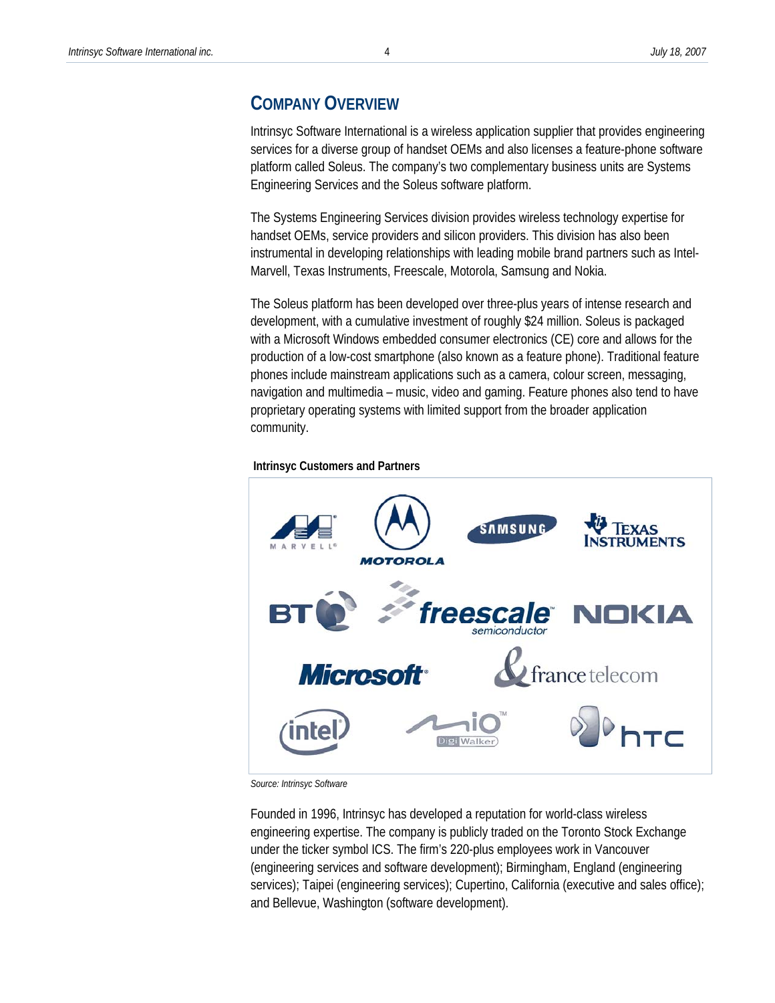### **COMPANY OVERVIEW**

Intrinsyc Software International is a wireless application supplier that provides engineering services for a diverse group of handset OEMs and also licenses a feature-phone software platform called Soleus. The company's two complementary business units are Systems Engineering Services and the Soleus software platform.

The Systems Engineering Services division provides wireless technology expertise for handset OEMs, service providers and silicon providers. This division has also been instrumental in developing relationships with leading mobile brand partners such as Intel-Marvell, Texas Instruments, Freescale, Motorola, Samsung and Nokia.

The Soleus platform has been developed over three-plus years of intense research and development, with a cumulative investment of roughly \$24 million. Soleus is packaged with a Microsoft Windows embedded consumer electronics (CE) core and allows for the production of a low-cost smartphone (also known as a feature phone). Traditional feature phones include mainstream applications such as a camera, colour screen, messaging, navigation and multimedia – music, video and gaming. Feature phones also tend to have proprietary operating systems with limited support from the broader application community.



 **Intrinsyc Customers and Partners** 

*Source: Intrinsyc Software* 

Founded in 1996, Intrinsyc has developed a reputation for world-class wireless engineering expertise. The company is publicly traded on the Toronto Stock Exchange under the ticker symbol ICS. The firm's 220-plus employees work in Vancouver (engineering services and software development); Birmingham, England (engineering services); Taipei (engineering services); Cupertino, California (executive and sales office); and Bellevue, Washington (software development).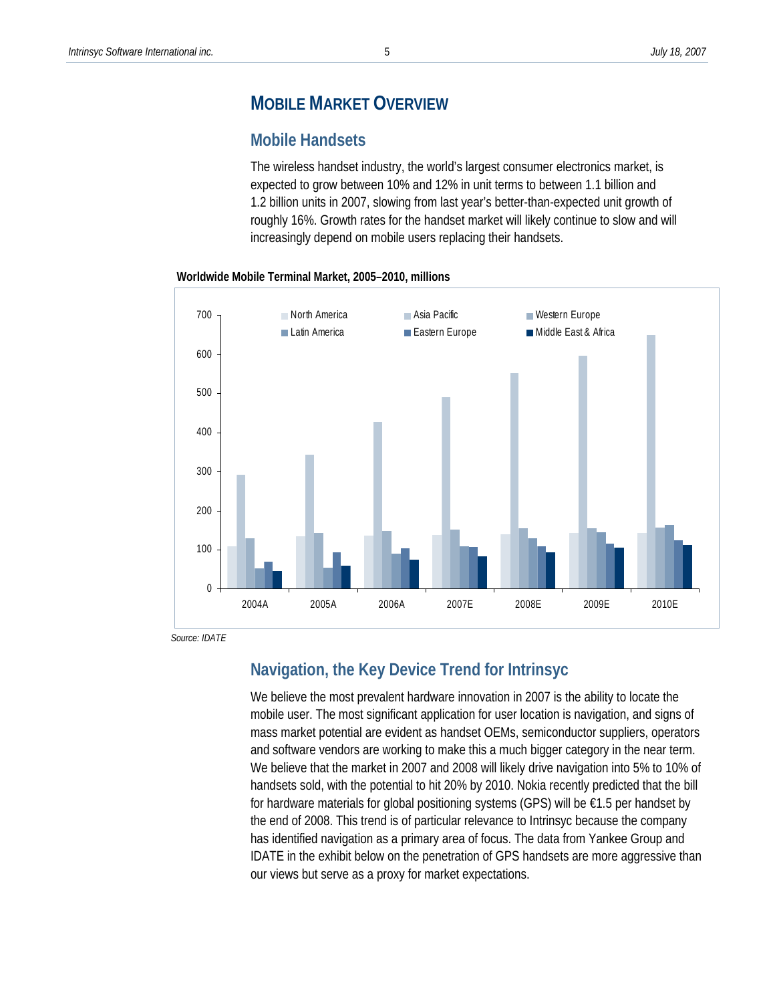# **MOBILE MARKET OVERVIEW**

#### **Mobile Handsets**

The wireless handset industry, the world's largest consumer electronics market, is expected to grow between 10% and 12% in unit terms to between 1.1 billion and 1.2 billion units in 2007, slowing from last year's better-than-expected unit growth of roughly 16%. Growth rates for the handset market will likely continue to slow and will increasingly depend on mobile users replacing their handsets.





 *Source: IDATE* 

# **Navigation, the Key Device Trend for Intrinsyc**

We believe the most prevalent hardware innovation in 2007 is the ability to locate the mobile user. The most significant application for user location is navigation, and signs of mass market potential are evident as handset OEMs, semiconductor suppliers, operators and software vendors are working to make this a much bigger category in the near term. We believe that the market in 2007 and 2008 will likely drive navigation into 5% to 10% of handsets sold, with the potential to hit 20% by 2010. Nokia recently predicted that the bill for hardware materials for global positioning systems (GPS) will be €1.5 per handset by the end of 2008. This trend is of particular relevance to Intrinsyc because the company has identified navigation as a primary area of focus. The data from Yankee Group and IDATE in the exhibit below on the penetration of GPS handsets are more aggressive than our views but serve as a proxy for market expectations.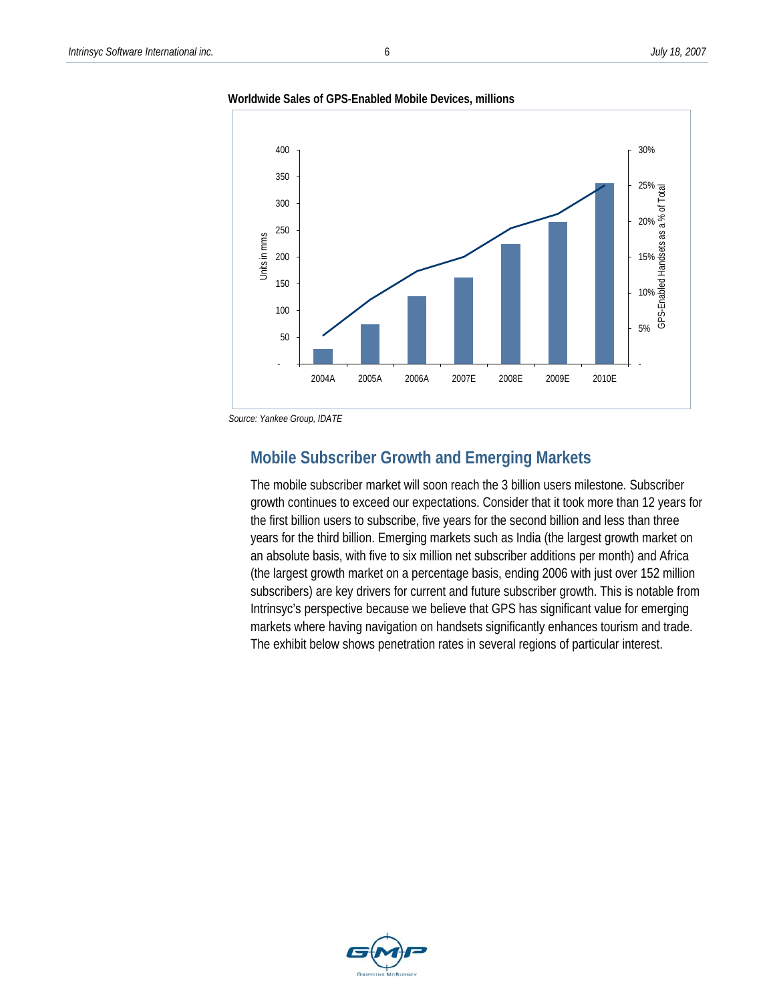



*Source: Yankee Group, IDATE* 

## **Mobile Subscriber Growth and Emerging Markets**

The mobile subscriber market will soon reach the 3 billion users milestone. Subscriber growth continues to exceed our expectations. Consider that it took more than 12 years for the first billion users to subscribe, five years for the second billion and less than three years for the third billion. Emerging markets such as India (the largest growth market on an absolute basis, with five to six million net subscriber additions per month) and Africa (the largest growth market on a percentage basis, ending 2006 with just over 152 million subscribers) are key drivers for current and future subscriber growth. This is notable from Intrinsyc's perspective because we believe that GPS has significant value for emerging markets where having navigation on handsets significantly enhances tourism and trade. The exhibit below shows penetration rates in several regions of particular interest.

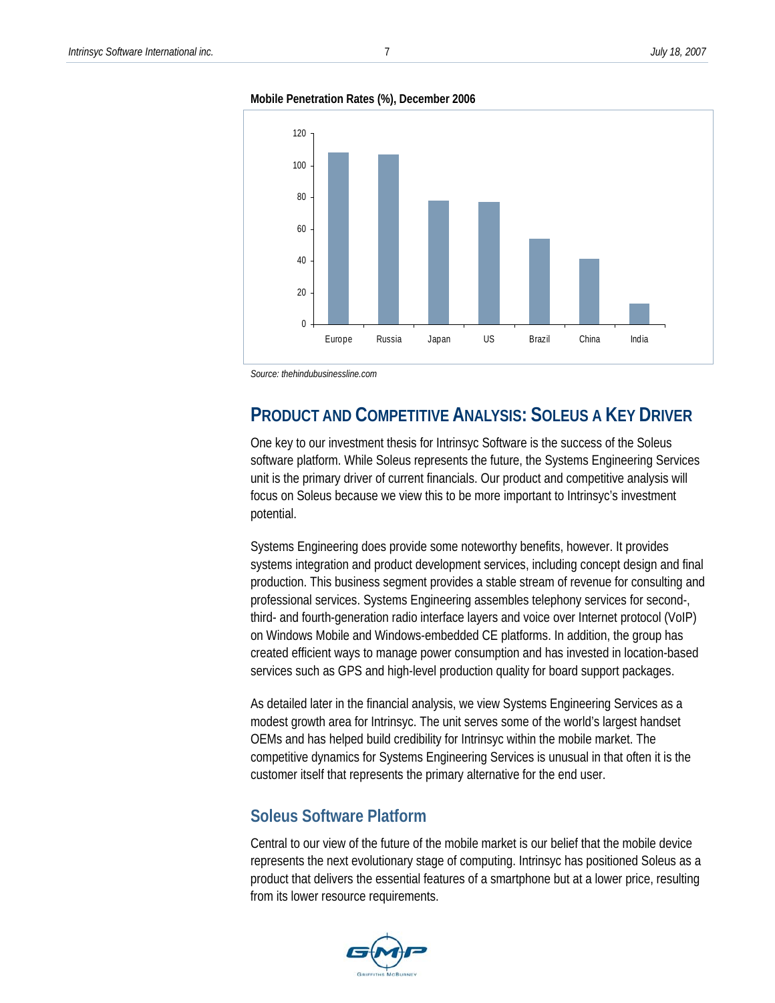**Mobile Penetration Rates (%), December 2006** 



*Source: thehindubusinessline.com* 

# **PRODUCT AND COMPETITIVE ANALYSIS: SOLEUS A KEY DRIVER**

One key to our investment thesis for Intrinsyc Software is the success of the Soleus software platform. While Soleus represents the future, the Systems Engineering Services unit is the primary driver of current financials. Our product and competitive analysis will focus on Soleus because we view this to be more important to Intrinsyc's investment potential.

Systems Engineering does provide some noteworthy benefits, however. It provides systems integration and product development services, including concept design and final production. This business segment provides a stable stream of revenue for consulting and professional services. Systems Engineering assembles telephony services for second-, third- and fourth-generation radio interface layers and voice over Internet protocol (VoIP) on Windows Mobile and Windows-embedded CE platforms. In addition, the group has created efficient ways to manage power consumption and has invested in location-based services such as GPS and high-level production quality for board support packages.

As detailed later in the financial analysis, we view Systems Engineering Services as a modest growth area for Intrinsyc. The unit serves some of the world's largest handset OEMs and has helped build credibility for Intrinsyc within the mobile market. The competitive dynamics for Systems Engineering Services is unusual in that often it is the customer itself that represents the primary alternative for the end user.

## **Soleus Software Platform**

Central to our view of the future of the mobile market is our belief that the mobile device represents the next evolutionary stage of computing. Intrinsyc has positioned Soleus as a product that delivers the essential features of a smartphone but at a lower price, resulting from its lower resource requirements.

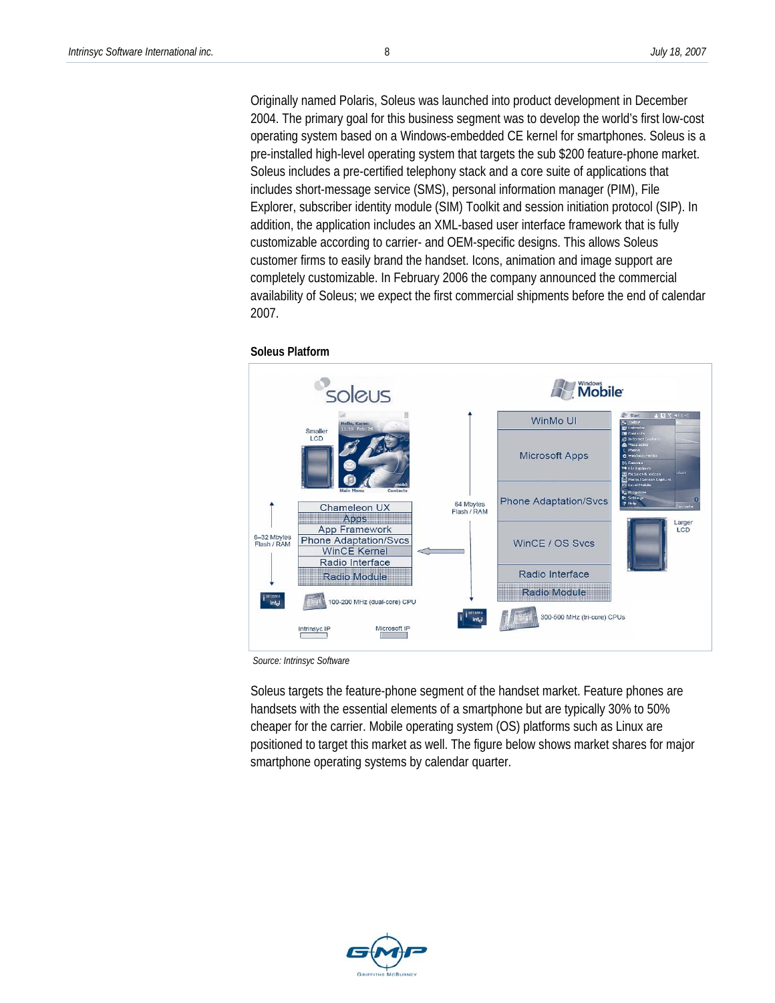Originally named Polaris, Soleus was launched into product development in December 2004. The primary goal for this business segment was to develop the world's first low-cost operating system based on a Windows-embedded CE kernel for smartphones. Soleus is a pre-installed high-level operating system that targets the sub \$200 feature-phone market. Soleus includes a pre-certified telephony stack and a core suite of applications that includes short-message service (SMS), personal information manager (PIM), File Explorer, subscriber identity module (SIM) Toolkit and session initiation protocol (SIP). In addition, the application includes an XML-based user interface framework that is fully customizable according to carrier- and OEM-specific designs. This allows Soleus customer firms to easily brand the handset. Icons, animation and image support are completely customizable. In February 2006 the company announced the commercial availability of Soleus; we expect the first commercial shipments before the end of calendar 2007.



**Soleus Platform** 

 *Source: Intrinsyc Software* 

Soleus targets the feature-phone segment of the handset market. Feature phones are handsets with the essential elements of a smartphone but are typically 30% to 50% cheaper for the carrier. Mobile operating system (OS) platforms such as Linux are positioned to target this market as well. The figure below shows market shares for major smartphone operating systems by calendar quarter.

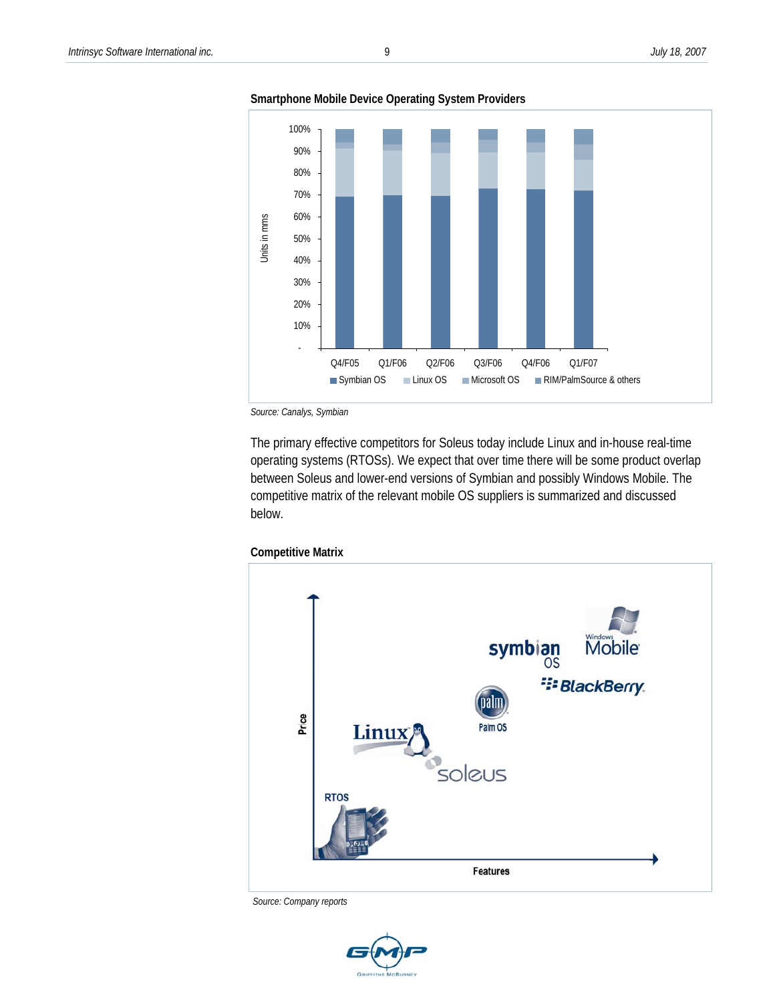



*Source: Canalys, Symbian* 

The primary effective competitors for Soleus today include Linux and in-house real-time operating systems (RTOSs). We expect that over time there will be some product overlap between Soleus and lower-end versions of Symbian and possibly Windows Mobile. The competitive matrix of the relevant mobile OS suppliers is summarized and discussed below.





 *Source: Company reports* 

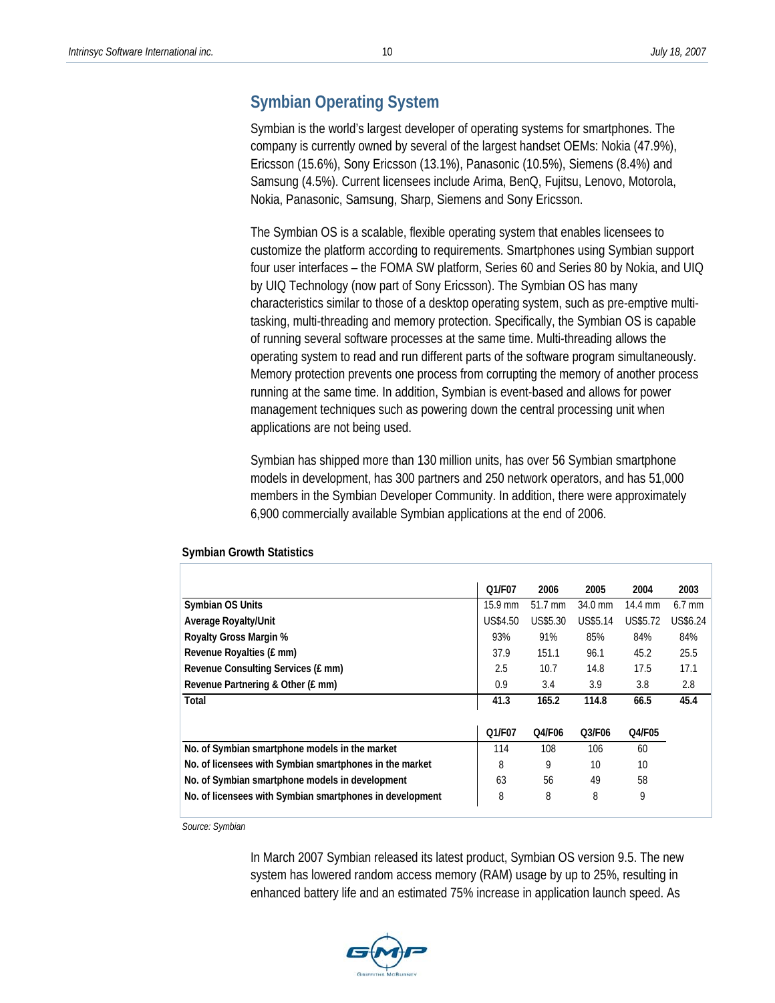### **Symbian Operating System**

Symbian is the world's largest developer of operating systems for smartphones. The company is currently owned by several of the largest handset OEMs: Nokia (47.9%), Ericsson (15.6%), Sony Ericsson (13.1%), Panasonic (10.5%), Siemens (8.4%) and Samsung (4.5%). Current licensees include Arima, BenQ, Fujitsu, Lenovo, Motorola, Nokia, Panasonic, Samsung, Sharp, Siemens and Sony Ericsson.

The Symbian OS is a scalable, flexible operating system that enables licensees to customize the platform according to requirements. Smartphones using Symbian support four user interfaces – the FOMA SW platform, Series 60 and Series 80 by Nokia, and UIQ by UIQ Technology (now part of Sony Ericsson). The Symbian OS has many characteristics similar to those of a desktop operating system, such as pre-emptive multitasking, multi-threading and memory protection. Specifically, the Symbian OS is capable of running several software processes at the same time. Multi-threading allows the operating system to read and run different parts of the software program simultaneously. Memory protection prevents one process from corrupting the memory of another process running at the same time. In addition, Symbian is event-based and allows for power management techniques such as powering down the central processing unit when applications are not being used.

Symbian has shipped more than 130 million units, has over 56 Symbian smartphone models in development, has 300 partners and 250 network operators, and has 51,000 members in the Symbian Developer Community. In addition, there were approximately 6,900 commercially available Symbian applications at the end of 2006.

|                                                          | Q1/F07          | 2006            | 2005            | 2004            | 2003            |
|----------------------------------------------------------|-----------------|-----------------|-----------------|-----------------|-----------------|
| Symbian OS Units                                         | 15.9 mm         | 51.7 mm         | $34.0$ mm       | 14.4 mm         | $6.7$ mm        |
| <b>Average Royalty/Unit</b>                              | <b>US\$4.50</b> | <b>US\$5.30</b> | <b>US\$5.14</b> | <b>US\$5.72</b> | <b>US\$6.24</b> |
| Royalty Gross Margin %                                   | 93%             | 91%             | 85%             | 84%             | 84%             |
| Revenue Royalties (£ mm)                                 | 37.9            | 151.1           | 96.1            | 45.2            | 25.5            |
| Revenue Consulting Services (£ mm)                       | 2.5             | 10.7            | 14.8            | 17.5            | 17.1            |
| Revenue Partnering & Other (£ mm)                        | 0.9             | 3.4             | 3.9             | 3.8             | 2.8             |
| Total                                                    | 41.3            | 165.2           | 114.8           | 66.5            | 45.4            |
|                                                          |                 |                 |                 |                 |                 |
|                                                          | Q1/F07          | Q4/F06          | O3/F06          | Q4/F05          |                 |
| No. of Symbian smartphone models in the market           | 114             | 108             | 106             | 60              |                 |
| No. of licensees with Symbian smartphones in the market  | 8               | 9               | 10              | 10              |                 |
| No. of Symbian smartphone models in development          | 63              | 56              | 49              | 58              |                 |
| No. of licensees with Symbian smartphones in development | 8               | 8               | 8               | 9               |                 |

#### **Symbian Growth Statistics**

*Source: Symbian* 

In March 2007 Symbian released its latest product, Symbian OS version 9.5. The new system has lowered random access memory (RAM) usage by up to 25%, resulting in enhanced battery life and an estimated 75% increase in application launch speed. As

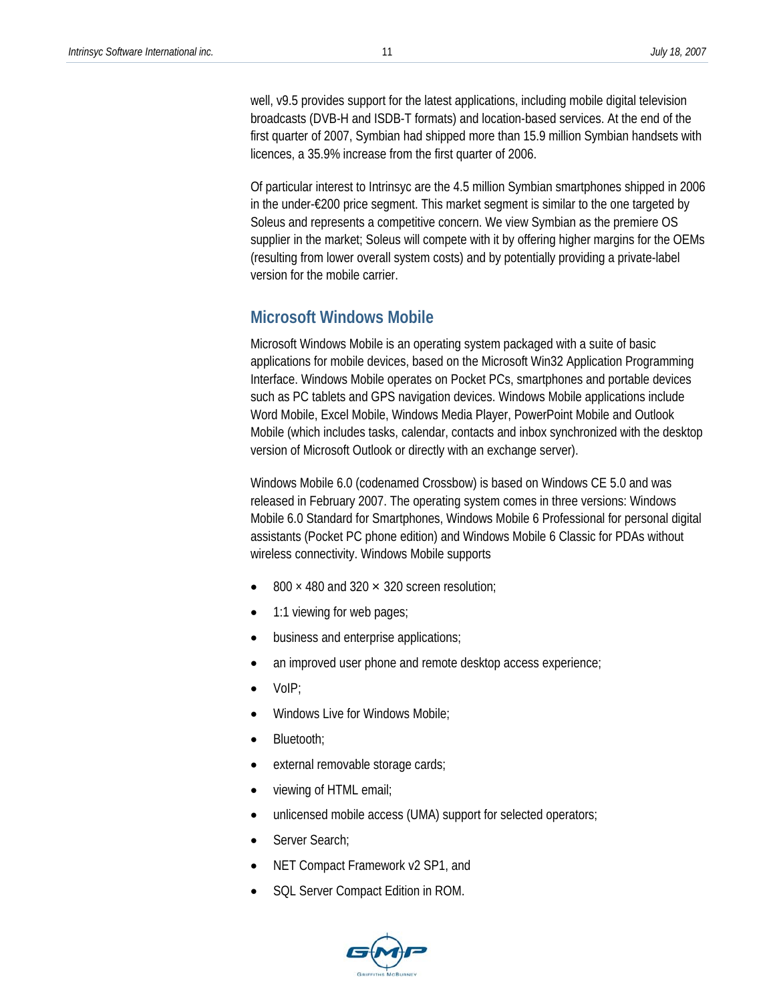well, v9.5 provides support for the latest applications, including mobile digital television broadcasts (DVB-H and ISDB-T formats) and location-based services. At the end of the first quarter of 2007, Symbian had shipped more than 15.9 million Symbian handsets with licences, a 35.9% increase from the first quarter of 2006.

Of particular interest to Intrinsyc are the 4.5 million Symbian smartphones shipped in 2006 in the under-€200 price segment. This market segment is similar to the one targeted by Soleus and represents a competitive concern. We view Symbian as the premiere OS supplier in the market; Soleus will compete with it by offering higher margins for the OEMs (resulting from lower overall system costs) and by potentially providing a private-label version for the mobile carrier.

#### **Microsoft Windows Mobile**

Microsoft Windows Mobile is an operating system packaged with a suite of basic applications for mobile devices, based on the Microsoft Win32 Application Programming Interface. Windows Mobile operates on Pocket PCs, smartphones and portable devices such as PC tablets and GPS navigation devices. Windows Mobile applications include Word Mobile, Excel Mobile, Windows Media Player, PowerPoint Mobile and Outlook Mobile (which includes tasks, calendar, contacts and inbox synchronized with the desktop version of Microsoft Outlook or directly with an exchange server).

Windows Mobile 6.0 (codenamed Crossbow) is based on Windows CE 5.0 and was released in February 2007. The operating system comes in three versions: Windows Mobile 6.0 Standard for Smartphones, Windows Mobile 6 Professional for personal digital assistants (Pocket PC phone edition) and Windows Mobile 6 Classic for PDAs without wireless connectivity. Windows Mobile supports

- $800 \times 480$  and 320  $\times$  320 screen resolution:
- 1:1 viewing for web pages;
- business and enterprise applications;
- an improved user phone and remote desktop access experience;
- VoIP;
- Windows Live for Windows Mobile;
- Bluetooth;
- external removable storage cards;
- viewing of HTML email;
- unlicensed mobile access (UMA) support for selected operators;
- Server Search;
- NET Compact Framework v2 SP1, and
- SQL Server Compact Edition in ROM.

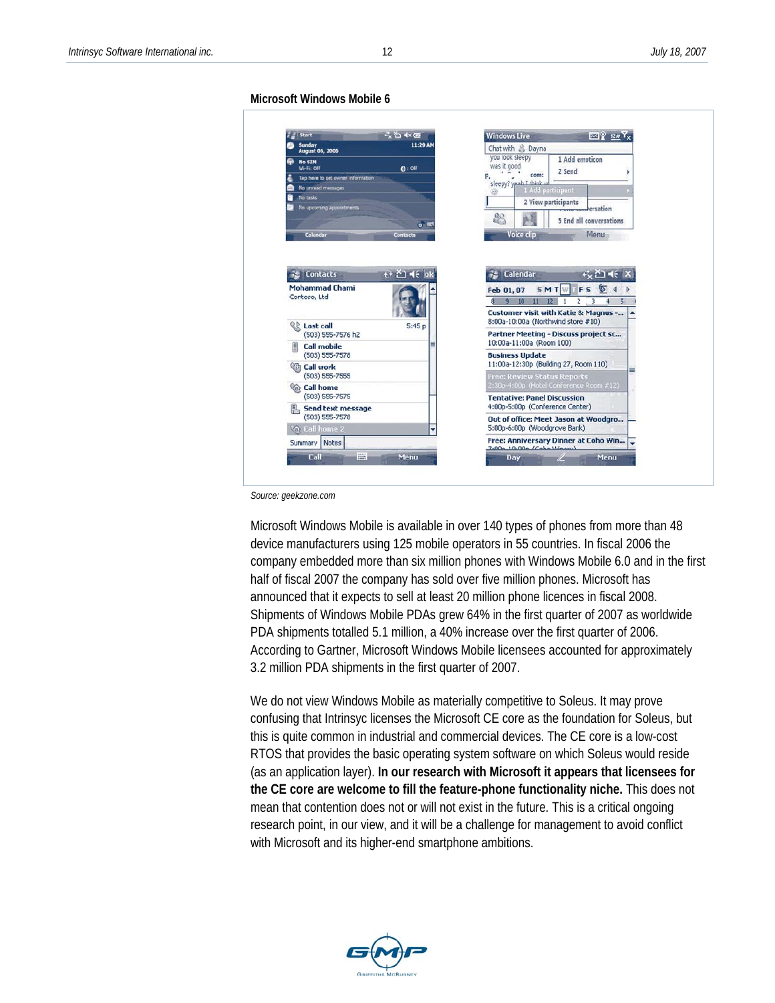#### **Microsoft Windows Mobile 6**



*Source: geekzone.com* 

Microsoft Windows Mobile is available in over 140 types of phones from more than 48 device manufacturers using 125 mobile operators in 55 countries. In fiscal 2006 the company embedded more than six million phones with Windows Mobile 6.0 and in the first half of fiscal 2007 the company has sold over five million phones. Microsoft has announced that it expects to sell at least 20 million phone licences in fiscal 2008. Shipments of Windows Mobile PDAs grew 64% in the first quarter of 2007 as worldwide PDA shipments totalled 5.1 million, a 40% increase over the first quarter of 2006. According to Gartner, Microsoft Windows Mobile licensees accounted for approximately 3.2 million PDA shipments in the first quarter of 2007.

We do not view Windows Mobile as materially competitive to Soleus. It may prove confusing that Intrinsyc licenses the Microsoft CE core as the foundation for Soleus, but this is quite common in industrial and commercial devices. The CE core is a low-cost RTOS that provides the basic operating system software on which Soleus would reside (as an application layer). **In our research with Microsoft it appears that licensees for the CE core are welcome to fill the feature-phone functionality niche.** This does not mean that contention does not or will not exist in the future. This is a critical ongoing research point, in our view, and it will be a challenge for management to avoid conflict with Microsoft and its higher-end smartphone ambitions.

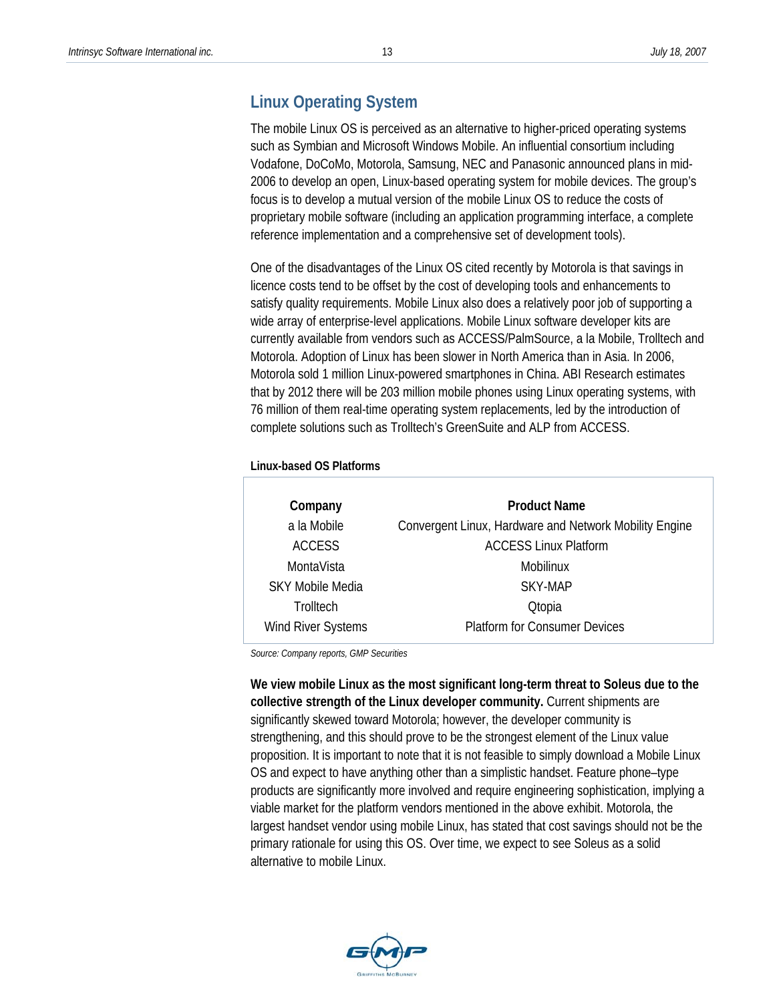## **Linux Operating System**

The mobile Linux OS is perceived as an alternative to higher-priced operating systems such as Symbian and Microsoft Windows Mobile. An influential consortium including Vodafone, DoCoMo, Motorola, Samsung, NEC and Panasonic announced plans in mid-2006 to develop an open, Linux-based operating system for mobile devices. The group's focus is to develop a mutual version of the mobile Linux OS to reduce the costs of proprietary mobile software (including an application programming interface, a complete reference implementation and a comprehensive set of development tools).

One of the disadvantages of the Linux OS cited recently by Motorola is that savings in licence costs tend to be offset by the cost of developing tools and enhancements to satisfy quality requirements. Mobile Linux also does a relatively poor job of supporting a wide array of enterprise-level applications. Mobile Linux software developer kits are currently available from vendors such as ACCESS/PalmSource, a la Mobile, Trolltech and Motorola. Adoption of Linux has been slower in North America than in Asia. In 2006, Motorola sold 1 million Linux-powered smartphones in China. ABI Research estimates that by 2012 there will be 203 million mobile phones using Linux operating systems, with 76 million of them real-time operating system replacements, led by the introduction of complete solutions such as Trolltech's GreenSuite and ALP from ACCESS.

#### **Linux-based OS Platforms**

| Company                 | <b>Product Name</b>                                    |
|-------------------------|--------------------------------------------------------|
| a la Mobile             | Convergent Linux, Hardware and Network Mobility Engine |
| <b>ACCESS</b>           | <b>ACCESS Linux Platform</b>                           |
| MontaVista              | Mobilinux                                              |
| <b>SKY Mobile Media</b> | SKY-MAP                                                |
| Trolltech               | <b>Qtopia</b>                                          |
| Wind River Systems      | <b>Platform for Consumer Devices</b>                   |

*Source: Company reports, GMP Securities* 

**We view mobile Linux as the most significant long-term threat to Soleus due to the collective strength of the Linux developer community.** Current shipments are significantly skewed toward Motorola; however, the developer community is strengthening, and this should prove to be the strongest element of the Linux value proposition. It is important to note that it is not feasible to simply download a Mobile Linux OS and expect to have anything other than a simplistic handset. Feature phone–type products are significantly more involved and require engineering sophistication, implying a viable market for the platform vendors mentioned in the above exhibit. Motorola, the largest handset vendor using mobile Linux, has stated that cost savings should not be the primary rationale for using this OS. Over time, we expect to see Soleus as a solid alternative to mobile Linux.

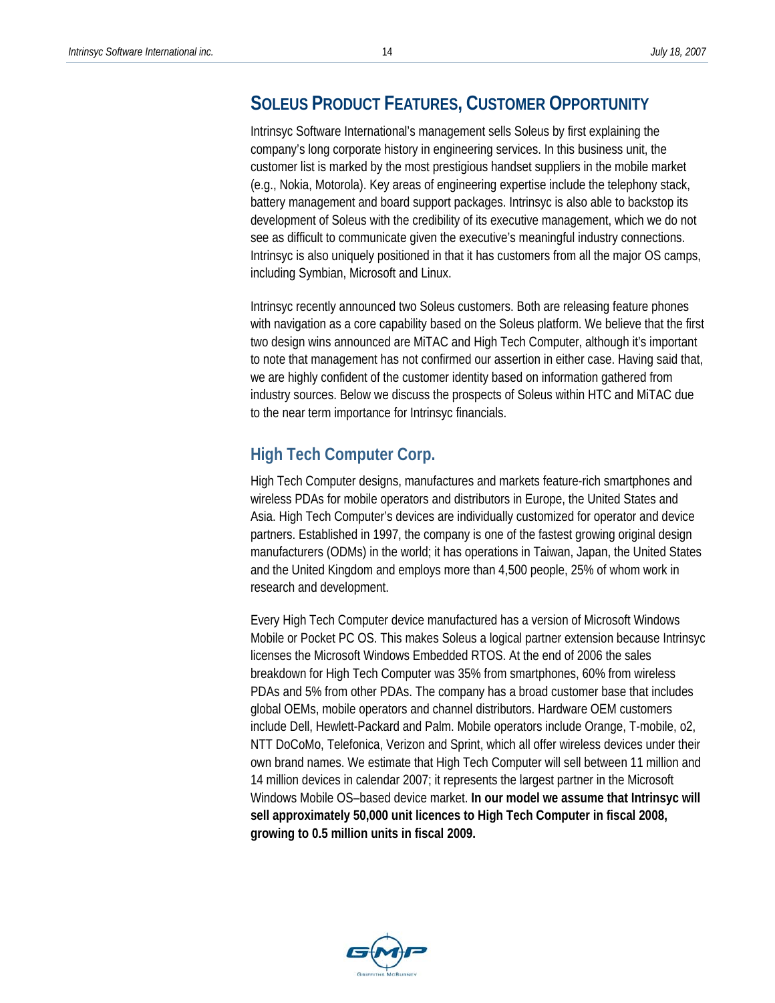## **SOLEUS PRODUCT FEATURES, CUSTOMER OPPORTUNITY**

Intrinsyc Software International's management sells Soleus by first explaining the company's long corporate history in engineering services. In this business unit, the customer list is marked by the most prestigious handset suppliers in the mobile market (e.g., Nokia, Motorola). Key areas of engineering expertise include the telephony stack, battery management and board support packages. Intrinsyc is also able to backstop its development of Soleus with the credibility of its executive management, which we do not see as difficult to communicate given the executive's meaningful industry connections. Intrinsyc is also uniquely positioned in that it has customers from all the major OS camps, including Symbian, Microsoft and Linux.

Intrinsyc recently announced two Soleus customers. Both are releasing feature phones with navigation as a core capability based on the Soleus platform. We believe that the first two design wins announced are MiTAC and High Tech Computer, although it's important to note that management has not confirmed our assertion in either case. Having said that, we are highly confident of the customer identity based on information gathered from industry sources. Below we discuss the prospects of Soleus within HTC and MiTAC due to the near term importance for Intrinsyc financials.

# **High Tech Computer Corp.**

High Tech Computer designs, manufactures and markets feature-rich smartphones and wireless PDAs for mobile operators and distributors in Europe, the United States and Asia. High Tech Computer's devices are individually customized for operator and device partners. Established in 1997, the company is one of the fastest growing original design manufacturers (ODMs) in the world; it has operations in Taiwan, Japan, the United States and the United Kingdom and employs more than 4,500 people, 25% of whom work in research and development.

Every High Tech Computer device manufactured has a version of Microsoft Windows Mobile or Pocket PC OS. This makes Soleus a logical partner extension because Intrinsyc licenses the Microsoft Windows Embedded RTOS. At the end of 2006 the sales breakdown for High Tech Computer was 35% from smartphones, 60% from wireless PDAs and 5% from other PDAs. The company has a broad customer base that includes global OEMs, mobile operators and channel distributors. Hardware OEM customers include Dell, Hewlett-Packard and Palm. Mobile operators include Orange, T-mobile, o2, NTT DoCoMo, Telefonica, Verizon and Sprint, which all offer wireless devices under their own brand names. We estimate that High Tech Computer will sell between 11 million and 14 million devices in calendar 2007; it represents the largest partner in the Microsoft Windows Mobile OS–based device market. **In our model we assume that Intrinsyc will sell approximately 50,000 unit licences to High Tech Computer in fiscal 2008, growing to 0.5 million units in fiscal 2009.** 

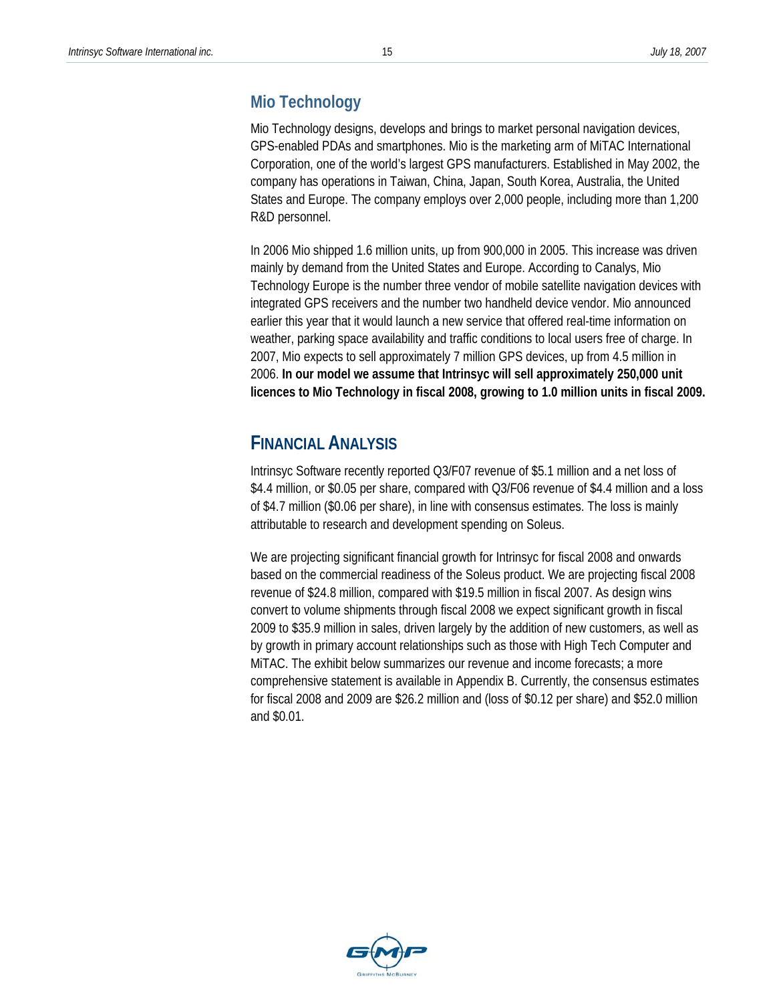### **Mio Technology**

Mio Technology designs, develops and brings to market personal navigation devices, GPS-enabled PDAs and smartphones. Mio is the marketing arm of MiTAC International Corporation, one of the world's largest GPS manufacturers. Established in May 2002, the company has operations in Taiwan, China, Japan, South Korea, Australia, the United States and Europe. The company employs over 2,000 people, including more than 1,200 R&D personnel.

In 2006 Mio shipped 1.6 million units, up from 900,000 in 2005. This increase was driven mainly by demand from the United States and Europe. According to Canalys, Mio Technology Europe is the number three vendor of mobile satellite navigation devices with integrated GPS receivers and the number two handheld device vendor. Mio announced earlier this year that it would launch a new service that offered real-time information on weather, parking space availability and traffic conditions to local users free of charge. In 2007, Mio expects to sell approximately 7 million GPS devices, up from 4.5 million in 2006. **In our model we assume that Intrinsyc will sell approximately 250,000 unit licences to Mio Technology in fiscal 2008, growing to 1.0 million units in fiscal 2009.** 

## **FINANCIAL ANALYSIS**

Intrinsyc Software recently reported Q3/F07 revenue of \$5.1 million and a net loss of \$4.4 million, or \$0.05 per share, compared with Q3/F06 revenue of \$4.4 million and a loss of \$4.7 million (\$0.06 per share), in line with consensus estimates. The loss is mainly attributable to research and development spending on Soleus.

We are projecting significant financial growth for Intrinsyc for fiscal 2008 and onwards based on the commercial readiness of the Soleus product. We are projecting fiscal 2008 revenue of \$24.8 million, compared with \$19.5 million in fiscal 2007. As design wins convert to volume shipments through fiscal 2008 we expect significant growth in fiscal 2009 to \$35.9 million in sales, driven largely by the addition of new customers, as well as by growth in primary account relationships such as those with High Tech Computer and MiTAC. The exhibit below summarizes our revenue and income forecasts; a more comprehensive statement is available in Appendix B. Currently, the consensus estimates for fiscal 2008 and 2009 are \$26.2 million and (loss of \$0.12 per share) and \$52.0 million and \$0.01.

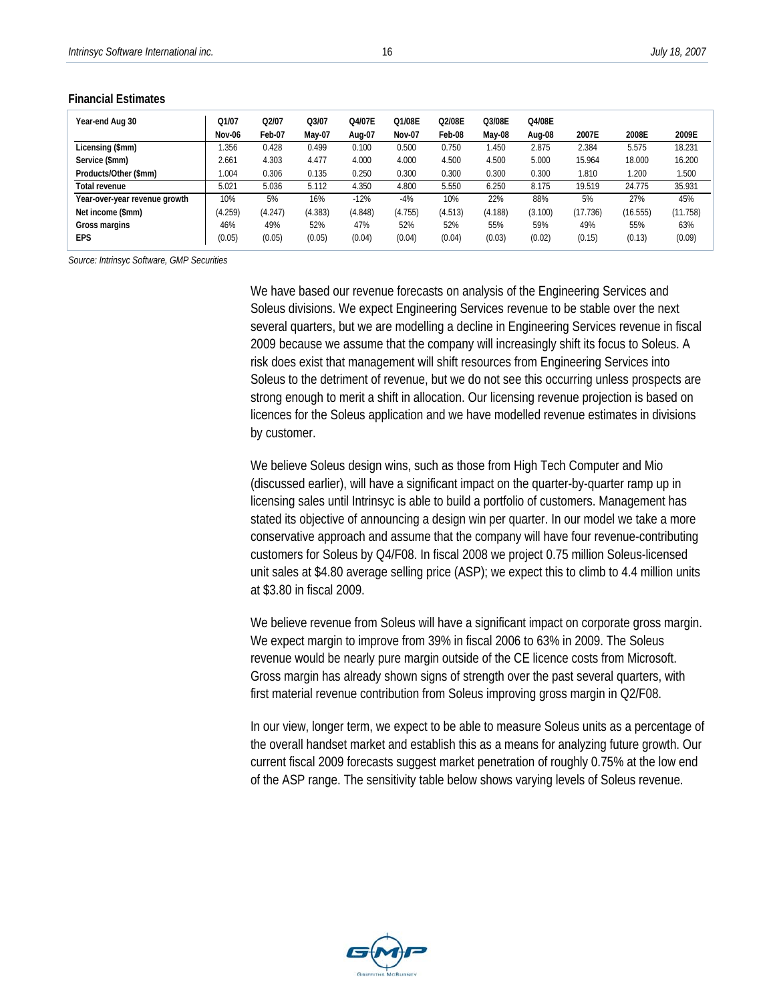| Year-end Aug 30               | Q1/07   | Q2/07   | Q3/07   | Q4/07E  | Q1/08E        | Q2/08E  | Q3/08E      | Q4/08E  |          |          |          |
|-------------------------------|---------|---------|---------|---------|---------------|---------|-------------|---------|----------|----------|----------|
|                               | Nov-06  | Feb-07  | May-07  | Aug-07  | <b>Nov-07</b> | Feb-08  | May-08      | Aug-08  | 2007E    | 2008E    | 2009E    |
| Licensing (\$mm)              | .356    | 0.428   | 0.499   | 0.100   | 0.500         | 0.750   | <b>.450</b> | 2.875   | 2.384    | 5.575    | 18.231   |
| Service (\$mm)                | 2.661   | 4.303   | 4.477   | 4.000   | 4.000         | 4.500   | 4.500       | 5.000   | 15.964   | 18.000   | 16.200   |
| Products/Other (\$mm)         | 1.004   | 0.306   | 0.135   | 0.250   | 0.300         | 0.300   | 0.300       | 0.300   | 1.810    | 1.200    | 1.500    |
| Total revenue                 | 5.021   | 5.036   | 5.112   | 4.350   | 4.800         | 5.550   | 6.250       | 8.175   | 19.519   | 24.775   | 35.931   |
| Year-over-year revenue growth | 10%     | 5%      | 16%     | $-12%$  | $-4%$         | 10%     | 22%         | 88%     | 5%       | 27%      | 45%      |
| Net income (\$mm)             | (4.259) | (4.247) | (4.383) | (4.848) | (4.755)       | (4.513) | (4.188)     | (3.100) | (17.736) | (16.555) | (11.758) |
| Gross margins                 | 46%     | 49%     | 52%     | 47%     | 52%           | 52%     | 55%         | 59%     | 49%      | 55%      | 63%      |
| <b>EPS</b>                    | (0.05)  | (0.05)  | (0.05)  | (0.04)  | (0.04)        | (0.04)  | (0.03)      | (0.02)  | (0.15)   | (0.13)   | (0.09)   |

#### **Financial Estimates**

*Source: Intrinsyc Software, GMP Securities* 

We have based our revenue forecasts on analysis of the Engineering Services and Soleus divisions. We expect Engineering Services revenue to be stable over the next several quarters, but we are modelling a decline in Engineering Services revenue in fiscal 2009 because we assume that the company will increasingly shift its focus to Soleus. A risk does exist that management will shift resources from Engineering Services into Soleus to the detriment of revenue, but we do not see this occurring unless prospects are strong enough to merit a shift in allocation. Our licensing revenue projection is based on licences for the Soleus application and we have modelled revenue estimates in divisions by customer.

We believe Soleus design wins, such as those from High Tech Computer and Mio (discussed earlier), will have a significant impact on the quarter-by-quarter ramp up in licensing sales until Intrinsyc is able to build a portfolio of customers. Management has stated its objective of announcing a design win per quarter. In our model we take a more conservative approach and assume that the company will have four revenue-contributing customers for Soleus by Q4/F08. In fiscal 2008 we project 0.75 million Soleus-licensed unit sales at \$4.80 average selling price (ASP); we expect this to climb to 4.4 million units at \$3.80 in fiscal 2009.

We believe revenue from Soleus will have a significant impact on corporate gross margin. We expect margin to improve from 39% in fiscal 2006 to 63% in 2009. The Soleus revenue would be nearly pure margin outside of the CE licence costs from Microsoft. Gross margin has already shown signs of strength over the past several quarters, with first material revenue contribution from Soleus improving gross margin in Q2/F08.

In our view, longer term, we expect to be able to measure Soleus units as a percentage of the overall handset market and establish this as a means for analyzing future growth. Our current fiscal 2009 forecasts suggest market penetration of roughly 0.75% at the low end of the ASP range. The sensitivity table below shows varying levels of Soleus revenue.

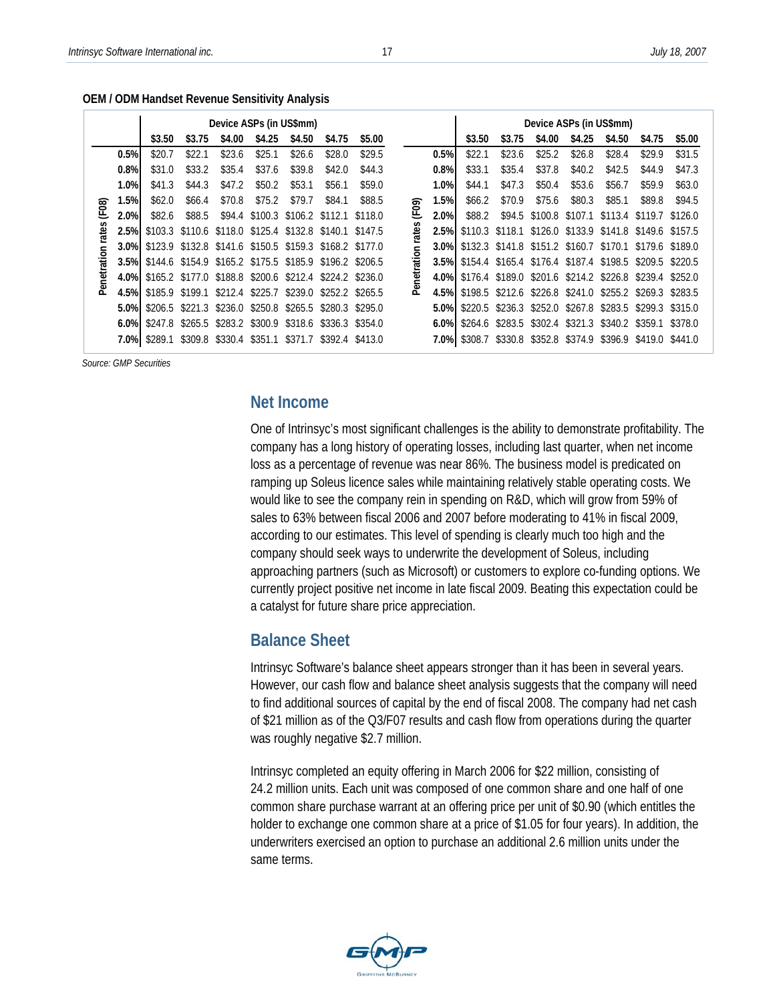|             |         | Device ASPs (in US\$mm)                                      |                 |                                                         |         |         |                 |                   |       |         | Device ASPs (in US\$mm)                                      |         |                         |                                                 |         |         |         |
|-------------|---------|--------------------------------------------------------------|-----------------|---------------------------------------------------------|---------|---------|-----------------|-------------------|-------|---------|--------------------------------------------------------------|---------|-------------------------|-------------------------------------------------|---------|---------|---------|
|             |         | \$3.50                                                       | \$3.75          | \$4.00                                                  | \$4.25  | \$4.50  | \$4.75          | \$5.00            |       |         | \$3.50                                                       | \$3.75  | \$4.00                  | \$4.25                                          | \$4.50  | \$4.75  | \$5.00  |
|             | 0.5%    | \$20.7                                                       | \$22.1          | \$23.6                                                  | \$25.1  | \$26.6  | \$28.0          | \$29.5            |       | 0.5%    | \$22.1                                                       | \$23.6  | \$25.2                  | \$26.8                                          | \$28.4  | \$29.9  | \$31.5  |
|             | 0.8%    | \$31.0                                                       | \$33.2          | \$35.4                                                  | \$37.6  | \$39.8  | \$42.0          | \$44.3            |       | 0.8%    | \$33.1                                                       | \$35.4  | \$37.8                  | \$40.2                                          | \$42.5  | \$44.9  | \$47.3  |
|             | 1.0%    | \$41.3                                                       | \$44.3          | \$47.2                                                  | \$50.2  | \$53.1  | \$56.1          | \$59.0            |       | 1.0%    | \$44.1                                                       | \$47.3  | \$50.4                  | \$53.6                                          | \$56.7  | \$59.9  | \$63.0  |
| (F08)       | 1.5%    | \$62.0\$                                                     | \$66.4          | \$70.8                                                  | \$75.2  | \$79.7  | \$84.1          | \$88.5            | (F09) | 1.5%    | \$66.2                                                       | \$70.9  | \$75.6                  | \$80.3                                          | \$85.1  | \$89.8  | \$94.5  |
|             | 2.0%    | \$82.6                                                       | \$88.5          | \$94.4                                                  | \$100.3 | \$106.2 | \$112.1         | \$118.0           |       | 2.0%    | \$88.2                                                       | \$94.5  | \$100.8 \$107.1         |                                                 | \$113.4 | \$119.7 | \$126.0 |
| rates       | 2.5%    |                                                              |                 | \$103.3 \$110.6 \$118.0 \$125.4 \$132.8                 |         |         | \$140.1         | \$147.5           | ates  | 2.5%    |                                                              |         |                         | \$110.3 \$118.1 \$126.0 \$133.9 \$141.8         |         | \$149.6 | \$157.5 |
|             | $3.0\%$ | \$123.9 \$132.8 \$141.6 \$150.5 \$159.3 \$168.2 \$177.0      |                 |                                                         |         |         |                 |                   |       | $3.0\%$ |                                                              |         |                         | \$132.3 \$141.8 \$151.2 \$160.7 \$170.1         |         | \$179.6 | \$189.0 |
| Penetration | 3.5%    |                                                              |                 | \$144.6 \$154.9 \$165.2 \$175.5 \$185.9 \$196.2 \$206.5 |         |         |                 |                   | iaio  | 3.5%    |                                                              |         |                         | \$154.4 \$165.4 \$176.4 \$187.4 \$198.5         |         | \$209.5 | \$220.5 |
|             |         | 4.0% \$165.2 \$177.0 \$188.8 \$200.6 \$212.4 \$224.2 \$236.0 |                 |                                                         |         |         |                 |                   | † ⊽   |         | 4.0% \$176.4 \$189.0 \$201.6 \$214.2 \$226.8 \$239.4 \$252.0 |         |                         |                                                 |         |         |         |
|             | 4.5%    |                                                              | \$185.9 \$199.1 | \$212.4                                                 | \$225.7 | \$239.0 | \$252.2 \$265.5 |                   | ൧ഀ    | 4.5%    |                                                              |         |                         | \$198.5 \$212.6 \$226.8 \$241.0 \$255.2 \$269.3 |         |         | \$283.5 |
|             | 5.0%    |                                                              |                 | \$206.5 \$221.3 \$236.0 \$250.8                         |         | \$265.5 |                 | \$280.3 \$295.0   |       | $5.0\%$ | \$220.5                                                      |         |                         | \$236.3 \$252.0 \$267.8 \$283.5                 |         | \$299.3 | \$315.0 |
|             | 6.0%    | \$247.8                                                      |                 | \$265.5 \$283.2                                         | \$300.9 | \$318.6 |                 | $$336.3$ $$354.0$ |       | $6.0\%$ | \$264.6                                                      |         | \$283.5 \$302.4 \$321.3 |                                                 | \$340.2 | \$359.1 | \$378.0 |
|             | 7.0%    | \$289.1                                                      | \$309.8         | \$330.4                                                 | \$351.1 | \$371.7 | \$392.4 \$413.0 |                   |       | 7.0%    | \$308.7                                                      | \$330.8 |                         | \$352.8 \$374.9 \$396.9                         |         | \$419.0 | \$441.0 |

 **OEM / ODM Handset Revenue Sensitivity Analysis** 

 *Source: GMP Securities* 

#### **Net Income**

One of Intrinsyc's most significant challenges is the ability to demonstrate profitability. The company has a long history of operating losses, including last quarter, when net income loss as a percentage of revenue was near 86%. The business model is predicated on ramping up Soleus licence sales while maintaining relatively stable operating costs. We would like to see the company rein in spending on R&D, which will grow from 59% of sales to 63% between fiscal 2006 and 2007 before moderating to 41% in fiscal 2009, according to our estimates. This level of spending is clearly much too high and the company should seek ways to underwrite the development of Soleus, including approaching partners (such as Microsoft) or customers to explore co-funding options. We currently project positive net income in late fiscal 2009. Beating this expectation could be a catalyst for future share price appreciation.

#### **Balance Sheet**

Intrinsyc Software's balance sheet appears stronger than it has been in several years. However, our cash flow and balance sheet analysis suggests that the company will need to find additional sources of capital by the end of fiscal 2008. The company had net cash of \$21 million as of the Q3/F07 results and cash flow from operations during the quarter was roughly negative \$2.7 million.

Intrinsyc completed an equity offering in March 2006 for \$22 million, consisting of 24.2 million units. Each unit was composed of one common share and one half of one common share purchase warrant at an offering price per unit of \$0.90 (which entitles the holder to exchange one common share at a price of \$1.05 for four years). In addition, the underwriters exercised an option to purchase an additional 2.6 million units under the same terms.

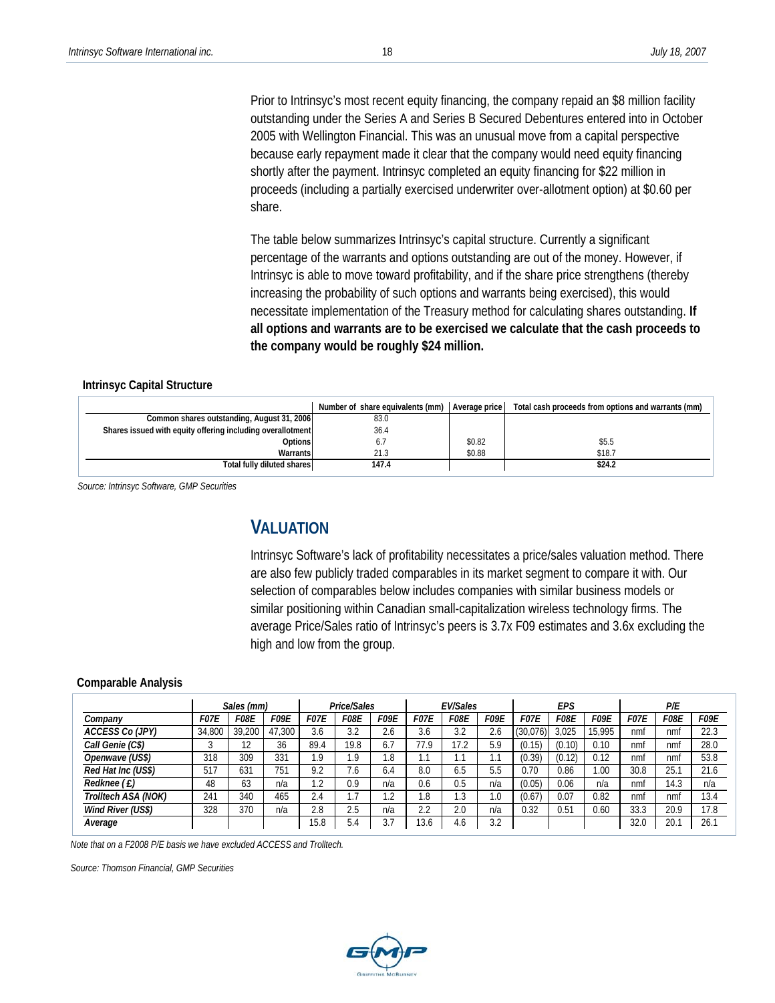Prior to Intrinsyc's most recent equity financing, the company repaid an \$8 million facility outstanding under the Series A and Series B Secured Debentures entered into in October 2005 with Wellington Financial. This was an unusual move from a capital perspective because early repayment made it clear that the company would need equity financing shortly after the payment. Intrinsyc completed an equity financing for \$22 million in proceeds (including a partially exercised underwriter over-allotment option) at \$0.60 per share.

The table below summarizes Intrinsyc's capital structure. Currently a significant percentage of the warrants and options outstanding are out of the money. However, if Intrinsyc is able to move toward profitability, and if the share price strengthens (thereby increasing the probability of such options and warrants being exercised), this would necessitate implementation of the Treasury method for calculating shares outstanding. **If all options and warrants are to be exercised we calculate that the cash proceeds to the company would be roughly \$24 million.**

#### **Intrinsyc Capital Structure**

|                                                            | Number of share equivalents (mm) Average price |        | Total cash proceeds from options and warrants (mm) |
|------------------------------------------------------------|------------------------------------------------|--------|----------------------------------------------------|
| Common shares outstanding, August 31, 2006                 | 83.0                                           |        |                                                    |
| Shares issued with equity offering including overallotment | 36.4                                           |        |                                                    |
| Optionsl                                                   | 6. i                                           | \$0.82 | \$5.5                                              |
| Warrants                                                   | 21.3                                           | \$0.88 | \$18.7                                             |
| Total fully diluted shares                                 | 147.4                                          |        | \$24.2                                             |

 *Source: Intrinsyc Software, GMP Securities* 

## **VALUATION**

Intrinsyc Software's lack of profitability necessitates a price/sales valuation method. There are also few publicly traded comparables in its market segment to compare it with. Our selection of comparables below includes companies with similar business models or similar positioning within Canadian small-capitalization wireless technology firms. The average Price/Sales ratio of Intrinsyc's peers is 3.7x F09 estimates and 3.6x excluding the high and low from the group.

#### **Comparable Analysis**

|                     |             | Sales (mm) |             |             | Price/Sales  |                   |                     | <b>EV/Sales</b> |      |             | EPS         |             |             | P/E  |             |
|---------------------|-------------|------------|-------------|-------------|--------------|-------------------|---------------------|-----------------|------|-------------|-------------|-------------|-------------|------|-------------|
| Company             | <i>F07E</i> | F08E       | <b>F09E</b> | <i>F07E</i> | F08E         | <i>F09E</i>       | <i>F07E</i>         | F08E            | F09E | <b>F07E</b> | <b>FO8E</b> | <b>F09E</b> | <b>F07E</b> | F08E | <b>F09E</b> |
| ACCESS Co (JPY)     | 34.800      | 39,200     | 47.300      | 3.6         | 3.2          | 2.6               | 3.6                 | 3.2             | 2.6  | (30,076)    | 3.025       | 15.995      | nmf         | nmt  | 22.3        |
| Call Genie (C\$)    |             | 12         | 36          | 89.4        | 19.8         | 6.7               | 77.9                | 17.2            | 5.9  | (0.15)      | (0.10)      | 0.10        | nmf         | nmf  | 28.0        |
| Openwave (US\$)     | 318         | 309        | 331         | 1.9         | 1.9          | .8                | $\mathbf{A}$<br>. . | I . I           |      | (0.39)      | (0.12)      | 0.12        | nmf         | nmf  | 53.8        |
| Red Hat Inc (US\$)  | 517         | 631        | 751         | 9.2         | 1.6          | 6.4               | 8.0                 | 6.5             | 5.5  | 0.70        | 0.86        | 00.1        | 30.8        | 25.1 | 21.6        |
| Reduce(E)           | 48          | 63         | n/a         | 1.2         | 0.9          | n/a               | 0.6                 | 0.5             | n/a  | (0.05)      | 0.06        | n/a         | nmf         | 14.3 | n/a         |
| Trolltech ASA (NOK) | 241         | 340        | 465         | 2.4         | $\mathbf{z}$ | $\sim$<br>$\cdot$ | 1.8                 | . .3            | 0.1  | (0.67)      | 0.07        | 0.82        | nmf         | nmf  | 13.4        |
| Wind River (US\$)   | 328         | 370        | n/a         | 2.8         | 2.5          | n/a               | 2.2                 | 2.0             | n/a  | 0.32        | 0.51        | 0.60        | 33.3        | 20.9 | 17.8        |
| Average             |             |            |             | 15.8        | 5.4          | 3.7               | 13.6                | 4.6             | 3.2  |             |             |             | 32.0        | 20.1 | 26.1        |

 *Note that on a F2008 P/E basis we have excluded ACCESS and Trolltech.* 

 *Source: Thomson Financial, GMP Securities* 

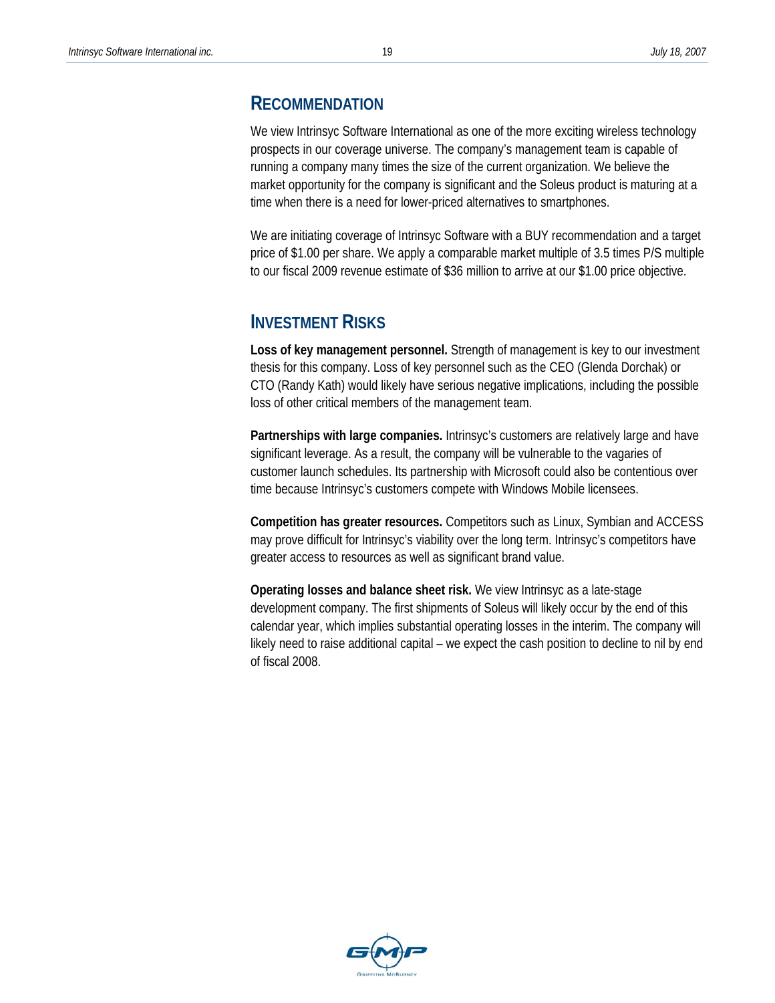#### **RECOMMENDATION**

We view Intrinsyc Software International as one of the more exciting wireless technology prospects in our coverage universe. The company's management team is capable of running a company many times the size of the current organization. We believe the market opportunity for the company is significant and the Soleus product is maturing at a time when there is a need for lower-priced alternatives to smartphones.

We are initiating coverage of Intrinsyc Software with a BUY recommendation and a target price of \$1.00 per share. We apply a comparable market multiple of 3.5 times P/S multiple to our fiscal 2009 revenue estimate of \$36 million to arrive at our \$1.00 price objective.

#### **INVESTMENT RISKS**

**Loss of key management personnel.** Strength of management is key to our investment thesis for this company. Loss of key personnel such as the CEO (Glenda Dorchak) or CTO (Randy Kath) would likely have serious negative implications, including the possible loss of other critical members of the management team.

**Partnerships with large companies.** Intrinsyc's customers are relatively large and have significant leverage. As a result, the company will be vulnerable to the vagaries of customer launch schedules. Its partnership with Microsoft could also be contentious over time because Intrinsyc's customers compete with Windows Mobile licensees.

**Competition has greater resources.** Competitors such as Linux, Symbian and ACCESS may prove difficult for Intrinsyc's viability over the long term. Intrinsyc's competitors have greater access to resources as well as significant brand value.

**Operating losses and balance sheet risk.** We view Intrinsyc as a late-stage development company. The first shipments of Soleus will likely occur by the end of this calendar year, which implies substantial operating losses in the interim. The company will likely need to raise additional capital – we expect the cash position to decline to nil by end of fiscal 2008.

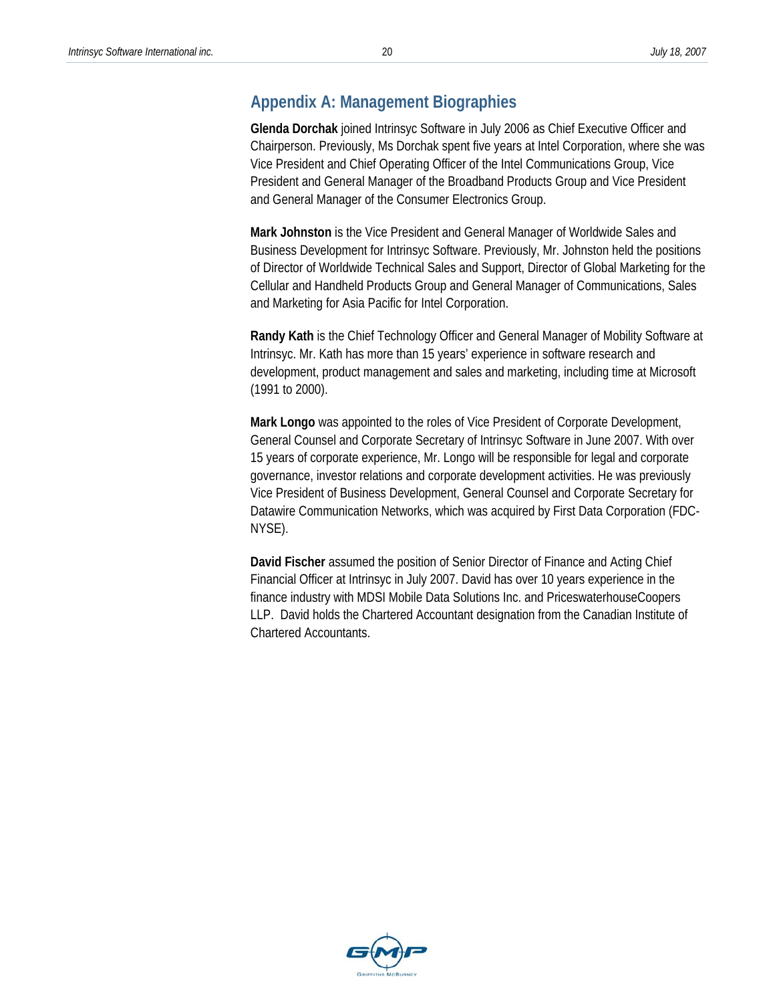#### **Appendix A: Management Biographies**

**Glenda Dorchak** joined Intrinsyc Software in July 2006 as Chief Executive Officer and Chairperson. Previously, Ms Dorchak spent five years at Intel Corporation, where she was Vice President and Chief Operating Officer of the Intel Communications Group, Vice President and General Manager of the Broadband Products Group and Vice President and General Manager of the Consumer Electronics Group.

**Mark Johnston** is the Vice President and General Manager of Worldwide Sales and Business Development for Intrinsyc Software. Previously, Mr. Johnston held the positions of Director of Worldwide Technical Sales and Support, Director of Global Marketing for the Cellular and Handheld Products Group and General Manager of Communications, Sales and Marketing for Asia Pacific for Intel Corporation.

**Randy Kath** is the Chief Technology Officer and General Manager of Mobility Software at Intrinsyc. Mr. Kath has more than 15 years' experience in software research and development, product management and sales and marketing, including time at Microsoft (1991 to 2000).

**Mark Longo** was appointed to the roles of Vice President of Corporate Development, General Counsel and Corporate Secretary of Intrinsyc Software in June 2007. With over 15 years of corporate experience, Mr. Longo will be responsible for legal and corporate governance, investor relations and corporate development activities. He was previously Vice President of Business Development, General Counsel and Corporate Secretary for Datawire Communication Networks, which was acquired by First Data Corporation (FDC-NYSE).

**David Fischer** assumed the position of Senior Director of Finance and Acting Chief Financial Officer at Intrinsyc in July 2007. David has over 10 years experience in the finance industry with MDSI Mobile Data Solutions Inc. and PriceswaterhouseCoopers LLP. David holds the Chartered Accountant designation from the Canadian Institute of Chartered Accountants.

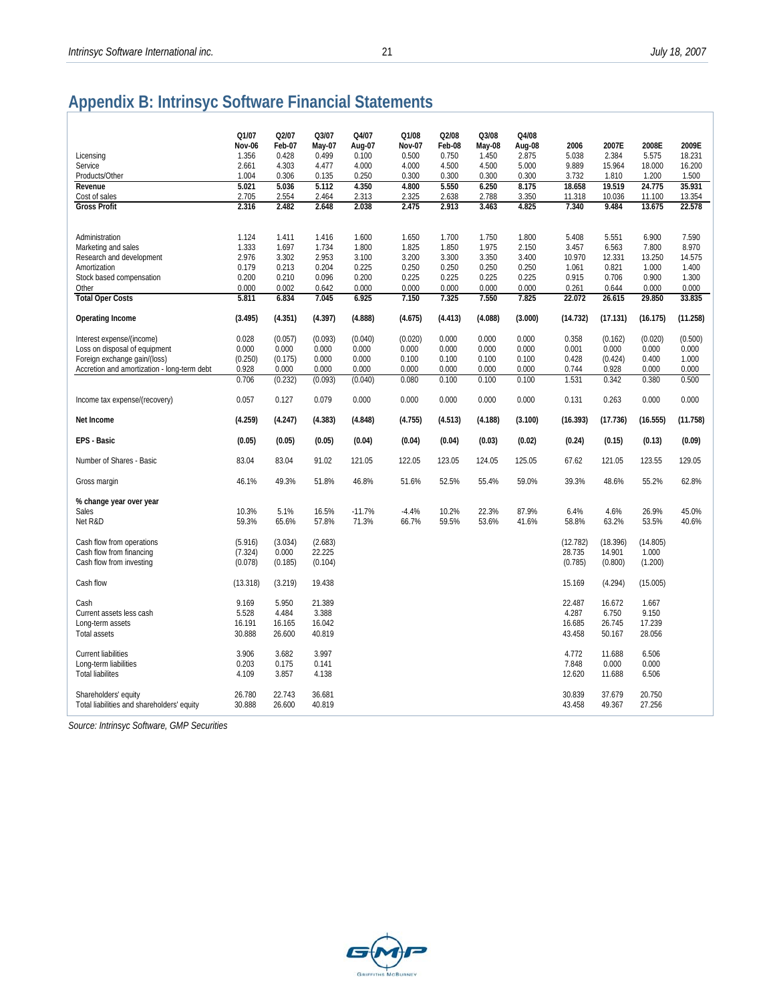# **Appendix B: Intrinsyc Software Financial Statements**

|                                             | Q1/07<br>Nov-06 | Q2/07<br>Feb-07 | Q3/07<br>May-07 | Q4/07<br>Aug-07 | Q1/08<br><b>Nov-07</b> | Q2/08<br>Feb-08 | Q3/08<br>May-08 | Q4/08<br>Aug-08 | 2006            | 2007E           | 2008E           | 2009E           |
|---------------------------------------------|-----------------|-----------------|-----------------|-----------------|------------------------|-----------------|-----------------|-----------------|-----------------|-----------------|-----------------|-----------------|
| Licensing                                   | 1.356           | 0.428           | 0.499           | 0.100           | 0.500                  | 0.750           | 1.450           | 2.875           | 5.038           | 2.384           | 5.575           | 18.231          |
| Service                                     | 2.661           | 4.303           | 4.477           | 4.000           | 4.000                  | 4.500           | 4.500           | 5.000           | 9.889           | 15.964          | 18.000          | 16.200          |
| Products/Other                              | 1.004           | 0.306           | 0.135           | 0.250           | 0.300                  | 0.300           | 0.300           | 0.300           | 3.732           | 1.810           | 1.200           | 1.500           |
| Revenue                                     | 5.021           | 5.036           | 5.112           | 4.350           | 4.800                  | 5.550           | 6.250           | 8.175           | 18.658          | 19.519          | 24.775          | 35.931          |
| Cost of sales                               | 2.705           | 2.554           | 2.464           | 2.313           | 2.325                  | 2.638           | 2.788           | 3.350           | 11.318          | 10.036          | 11.100          | 13.354          |
| <b>Gross Profit</b>                         | 2.316           | 2.482           | 2.648           | 2.038           | 2.475                  | 2.913           | 3.463           | 4.825           | 7.340           | 9.484           | 13.675          | 22.578          |
|                                             |                 |                 |                 |                 |                        |                 |                 |                 |                 |                 |                 |                 |
| Administration                              | 1.124           | 1.411           | 1.416           | 1.600           | 1.650                  | 1.700           | 1.750           | 1.800           | 5.408           | 5.551           | 6.900           | 7.590           |
| Marketing and sales                         | 1.333           | 1.697           | 1.734           | 1.800           | 1.825                  | 1.850           | 1.975           | 2.150           | 3.457           | 6.563           | 7.800           | 8.970           |
| Research and development                    | 2.976           | 3.302           | 2.953           | 3.100           | 3.200                  | 3.300           | 3.350           | 3.400           | 10.970          | 12.331          | 13.250          | 14.575          |
| Amortization                                | 0.179           | 0.213           | 0.204           | 0.225           | 0.250                  | 0.250           | 0.250           | 0.250           | 1.061           | 0.821           | 1.000           | 1.400           |
| Stock based compensation                    | 0.200           | 0.210           | 0.096           | 0.200           | 0.225                  | 0.225           | 0.225           | 0.225           | 0.915           | 0.706           | 0.900           | 1.300           |
| Other<br><b>Total Oper Costs</b>            | 0.000<br>5.811  | 0.002<br>6.834  | 0.642<br>7.045  | 0.000<br>6.925  | 0.000<br>7.150         | 0.000<br>7.325  | 0.000<br>7.550  | 0.000<br>7.825  | 0.261<br>22.072 | 0.644<br>26.615 | 0.000<br>29.850 | 0.000<br>33.835 |
|                                             |                 |                 |                 |                 |                        |                 |                 |                 |                 |                 |                 |                 |
| Operating Income                            | (3.495)         | (4.351)         | (4.397)         | (4.888)         | (4.675)                | (4.413)         | (4.088)         | (3.000)         | (14.732)        | (17.131)        | (16.175)        | (11.258)        |
| Interest expense/(income)                   | 0.028           | (0.057)         | (0.093)         | (0.040)         | (0.020)                | 0.000           | 0.000           | 0.000           | 0.358           | (0.162)         | (0.020)         | (0.500)         |
| Loss on disposal of equipment               | 0.000           | 0.000           | 0.000           | 0.000           | 0.000                  | 0.000           | 0.000           | 0.000           | 0.001           | 0.000           | 0.000           | 0.000           |
| Foreign exchange gain/(loss)                | (0.250)         | (0.175)         | 0.000           | 0.000           | 0.100                  | 0.100           | 0.100           | 0.100           | 0.428           | (0.424)         | 0.400           | 1.000           |
| Accretion and amortization - long-term debt | 0.928           | 0.000           | 0.000           | 0.000           | 0.000                  | 0.000           | 0.000           | 0.000           | 0.744           | 0.928           | 0.000           | 0.000           |
|                                             | 0.706           | (0.232)         | (0.093)         | (0.040)         | 0.080                  | 0.100           | 0.100           | 0.100           | 1.531           | 0.342           | 0.380           | 0.500           |
| Income tax expense/(recovery)               | 0.057           | 0.127           | 0.079           | 0.000           | 0.000                  | 0.000           | 0.000           | 0.000           | 0.131           | 0.263           | 0.000           | 0.000           |
| Net Income                                  | (4.259)         | (4.247)         | (4.383)         | (4.848)         | (4.755)                | (4.513)         | (4.188)         | (3.100)         | (16.393)        | (17.736)        | (16.555)        | (11.758)        |
| <b>EPS - Basic</b>                          | (0.05)          | (0.05)          | (0.05)          | (0.04)          | (0.04)                 | (0.04)          | (0.03)          | (0.02)          | (0.24)          | (0.15)          | (0.13)          | (0.09)          |
| Number of Shares - Basic                    | 83.04           | 83.04           | 91.02           | 121.05          | 122.05                 | 123.05          | 124.05          | 125.05          | 67.62           | 121.05          | 123.55          | 129.05          |
| Gross margin                                | 46.1%           | 49.3%           | 51.8%           | 46.8%           | 51.6%                  | 52.5%           | 55.4%           | 59.0%           | 39.3%           | 48.6%           | 55.2%           | 62.8%           |
| % change year over year                     |                 |                 |                 |                 |                        |                 |                 |                 |                 |                 |                 |                 |
| Sales                                       | 10.3%           | 5.1%            | 16.5%           | $-11.7%$        | $-4.4%$                | 10.2%           | 22.3%           | 87.9%           | 6.4%            | 4.6%            | 26.9%           | 45.0%           |
| Net R&D                                     | 59.3%           | 65.6%           | 57.8%           | 71.3%           | 66.7%                  | 59.5%           | 53.6%           | 41.6%           | 58.8%           | 63.2%           | 53.5%           | 40.6%           |
| Cash flow from operations                   | (5.916)         | (3.034)         | (2.683)         |                 |                        |                 |                 |                 | (12.782)        | (18.396)        | (14.805)        |                 |
| Cash flow from financing                    | (7.324)         | 0.000           | 22.225          |                 |                        |                 |                 |                 | 28.735          | 14.901          | 1.000           |                 |
| Cash flow from investing                    | (0.078)         | (0.185)         | (0.104)         |                 |                        |                 |                 |                 | (0.785)         | (0.800)         | (1.200)         |                 |
|                                             |                 |                 |                 |                 |                        |                 |                 |                 |                 |                 |                 |                 |
| Cash flow                                   | (13.318)        | (3.219)         | 19.438          |                 |                        |                 |                 |                 | 15.169          | (4.294)         | (15.005)        |                 |
| Cash                                        | 9.169           | 5.950           | 21.389          |                 |                        |                 |                 |                 | 22.487          | 16.672          | 1.667           |                 |
| Current assets less cash                    | 5.528           | 4.484           | 3.388           |                 |                        |                 |                 |                 | 4.287           | 6.750           | 9.150           |                 |
| Long-term assets                            | 16.191          | 16.165          | 16.042          |                 |                        |                 |                 |                 | 16.685          | 26.745          | 17.239          |                 |
| <b>Total assets</b>                         | 30.888          | 26.600          | 40.819          |                 |                        |                 |                 |                 | 43.458          | 50.167          | 28.056          |                 |
| <b>Current liabilities</b>                  | 3.906           | 3.682           | 3.997           |                 |                        |                 |                 |                 | 4.772           | 11.688          | 6.506           |                 |
| Long-term liabilities                       | 0.203           | 0.175           | 0.141           |                 |                        |                 |                 |                 | 7.848           | 0.000           | 0.000           |                 |
| <b>Total liabilites</b>                     | 4.109           | 3.857           | 4.138           |                 |                        |                 |                 |                 | 12.620          | 11.688          | 6.506           |                 |
|                                             |                 |                 |                 |                 |                        |                 |                 |                 |                 |                 |                 |                 |
| Shareholders' equity                        | 26.780          | 22.743          | 36.681          |                 |                        |                 |                 |                 | 30.839          | 37.679          | 20.750          |                 |
| Total liabilities and shareholders' equity  | 30.888          | 26.600          | 40.819          |                 |                        |                 |                 |                 | 43.458          | 49.367          | 27.256          |                 |

*Source: Intrinsyc Software, GMP Securities* 

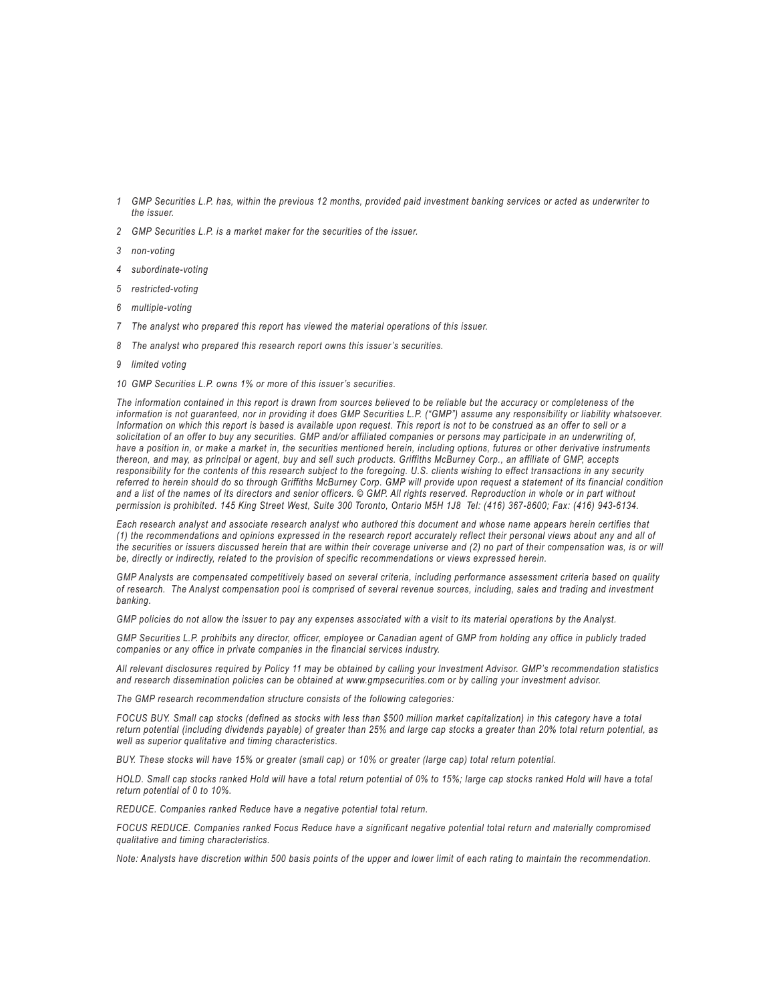- *1 GMP Securities L.P. has, within the previous 12 months, provided paid investment banking services or acted as underwriter to the issuer.*
- *2 GMP Securities L.P. is a market maker for the securities of the issuer.*
- *3 non-voting*
- *4 subordinate-voting*
- *5 restricted-voting*
- *6 multiple-voting*
- *7 The analyst who prepared this report has viewed the material operations of this issuer.*
- *8 The analyst who prepared this research report owns this issuer's securities.*
- *9 limited voting*
- *10 GMP Securities L.P. owns 1% or more of this issuer's securities.*

*The information contained in this report is drawn from sources believed to be reliable but the accuracy or completeness of the*  information is not guaranteed, nor in providing it does GMP Securities L.P. ("GMP") assume any responsibility or liability whatsoever. *Information on which this report is based is available upon request. This report is not to be construed as an offer to sell or a solicitation of an offer to buy any securities. GMP and/or affiliated companies or persons may participate in an underwriting of, have a position in, or make a market in, the securities mentioned herein, including options, futures or other derivative instruments thereon, and may, as principal or agent, buy and sell such products. Griffiths McBurney Corp., an affiliate of GMP, accepts responsibility for the contents of this research subject to the foregoing. U.S. clients wishing to effect transactions in any security referred to herein should do so through Griffiths McBurney Corp. GMP will provide upon request a statement of its financial condition and a list of the names of its directors and senior officers. © GMP. All rights reserved. Reproduction in whole or in part without permission is prohibited. 145 King Street West, Suite 300 Toronto, Ontario M5H 1J8 Tel: (416) 367-8600; Fax: (416) 943-6134.*

*Each research analyst and associate research analyst who authored this document and whose name appears herein certifies that (1) the recommendations and opinions expressed in the research report accurately reflect their personal views about any and all of the securities or issuers discussed herein that are within their coverage universe and (2) no part of their compensation was, is or will be, directly or indirectly, related to the provision of specific recommendations or views expressed herein.*

*GMP Analysts are compensated competitively based on several criteria, including performance assessment criteria based on quality of research. The Analyst compensation pool is comprised of several revenue sources, including, sales and trading and investment banking.* 

*GMP policies do not allow the issuer to pay any expenses associated with a visit to its material operations by the Analyst.*

*GMP Securities L.P. prohibits any director, officer, employee or Canadian agent of GMP from holding any office in publicly traded companies or any office in private companies in the financial services industry.*

*All relevant disclosures required by Policy 11 may be obtained by calling your Investment Advisor. GMP's recommendation statistics and research dissemination policies can be obtained at www.gmpsecurities.com or by calling your investment advisor.*

*The GMP research recommendation structure consists of the following categories:*

*FOCUS BUY. Small cap stocks (defined as stocks with less than \$500 million market capitalization) in this category have a total return potential (including dividends payable) of greater than 25% and large cap stocks a greater than 20% total return potential, as well as superior qualitative and timing characteristics.*

*BUY. These stocks will have 15% or greater (small cap) or 10% or greater (large cap) total return potential.*

*HOLD. Small cap stocks ranked Hold will have a total return potential of 0% to 15%; large cap stocks ranked Hold will have a total return potential of 0 to 10%.*

*REDUCE. Companies ranked Reduce have a negative potential total return.*

*FOCUS REDUCE. Companies ranked Focus Reduce have a significant negative potential total return and materially compromised qualitative and timing characteristics.*

*Note: Analysts have discretion within 500 basis points of the upper and lower limit of each rating to maintain the recommendation.*